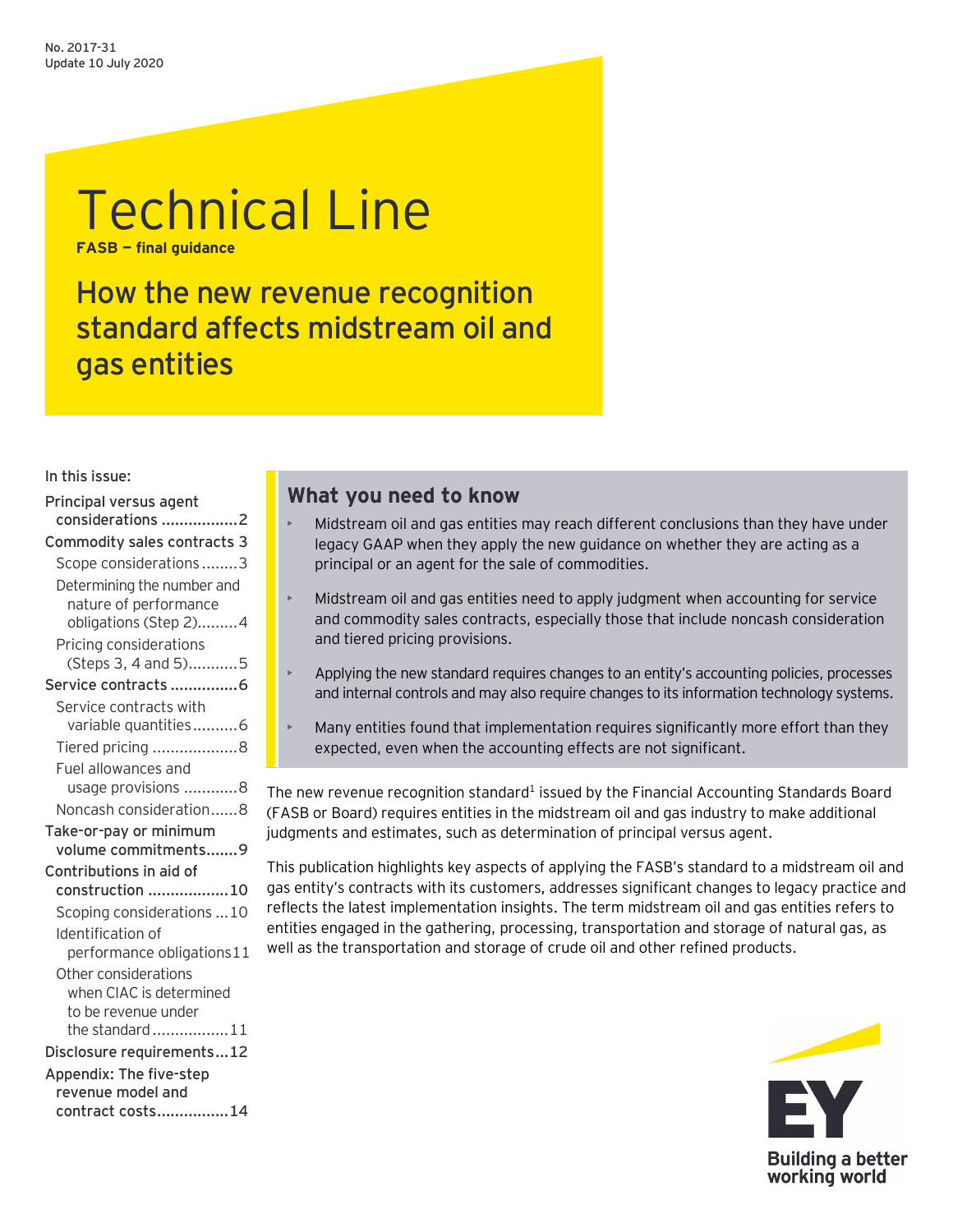# Technical Line **FASB — final guidance**

How the new revenue recognition standard affects midstream oil and gas entities

In this issue:

| Principal versus agent<br>considerations 2     |  |  |  |
|------------------------------------------------|--|--|--|
| Commodity sales contracts 3                    |  |  |  |
| Scope considerations3                          |  |  |  |
| Determining the number and                     |  |  |  |
| nature of performance<br>obligations (Step 2)4 |  |  |  |
| Pricing considerations<br>(Steps 3, 4 and 5)5  |  |  |  |
| Service contracts 6                            |  |  |  |
| Service contracts with                         |  |  |  |
| variable quantities6                           |  |  |  |
| Tiered pricing 8                               |  |  |  |
| Fuel allowances and                            |  |  |  |
| usage provisions 8                             |  |  |  |
| Noncash consideration8                         |  |  |  |
| Take-or-pay or minimum<br>volume commitments9  |  |  |  |
| Contributions in aid of                        |  |  |  |
| construction 10                                |  |  |  |
| Scoping considerations 10                      |  |  |  |
| Identification of                              |  |  |  |
| performance obligations11                      |  |  |  |
| Other considerations                           |  |  |  |
| when CIAC is determined                        |  |  |  |
| to be revenue under                            |  |  |  |
| the standard11                                 |  |  |  |
| Disclosure requirements12                      |  |  |  |
| Appendix: The five-step                        |  |  |  |
| revenue model and                              |  |  |  |
| contract costs14                               |  |  |  |

# **What you need to know**

- Midstream oil and gas entities may reach different conclusions than they have under legacy GAAP when they apply the new guidance on whether they are acting as a principal or an agent for the sale of commodities.
- Midstream oil and gas entities need to apply judgment when accounting for service and commodity sales contracts, especially those that include noncash consideration and tiered pricing provisions.
- Applying the new standard requires changes to an entity's accounting policies, processes and internal controls and may also require changes to its information technology systems.
- Many entities found that implementation requires significantly more effort than they expected, even when the accounting effects are not significant.

The new revenue recognition standard<sup>1</sup> issued by the Financial Accounting Standards Board (FASB or Board) requires entities in the midstream oil and gas industry to make additional judgments and estimates, such as determination of principal versus agent.

This publication highlights key aspects of applying the FASB's standard to a midstream oil and gas entity's contracts with its customers, addresses significant changes to legacy practice and reflects the latest implementation insights. The term midstream oil and gas entities refers to entities engaged in the gathering, processing, transportation and storage of natural gas, as well as the transportation and storage of crude oil and other refined products.

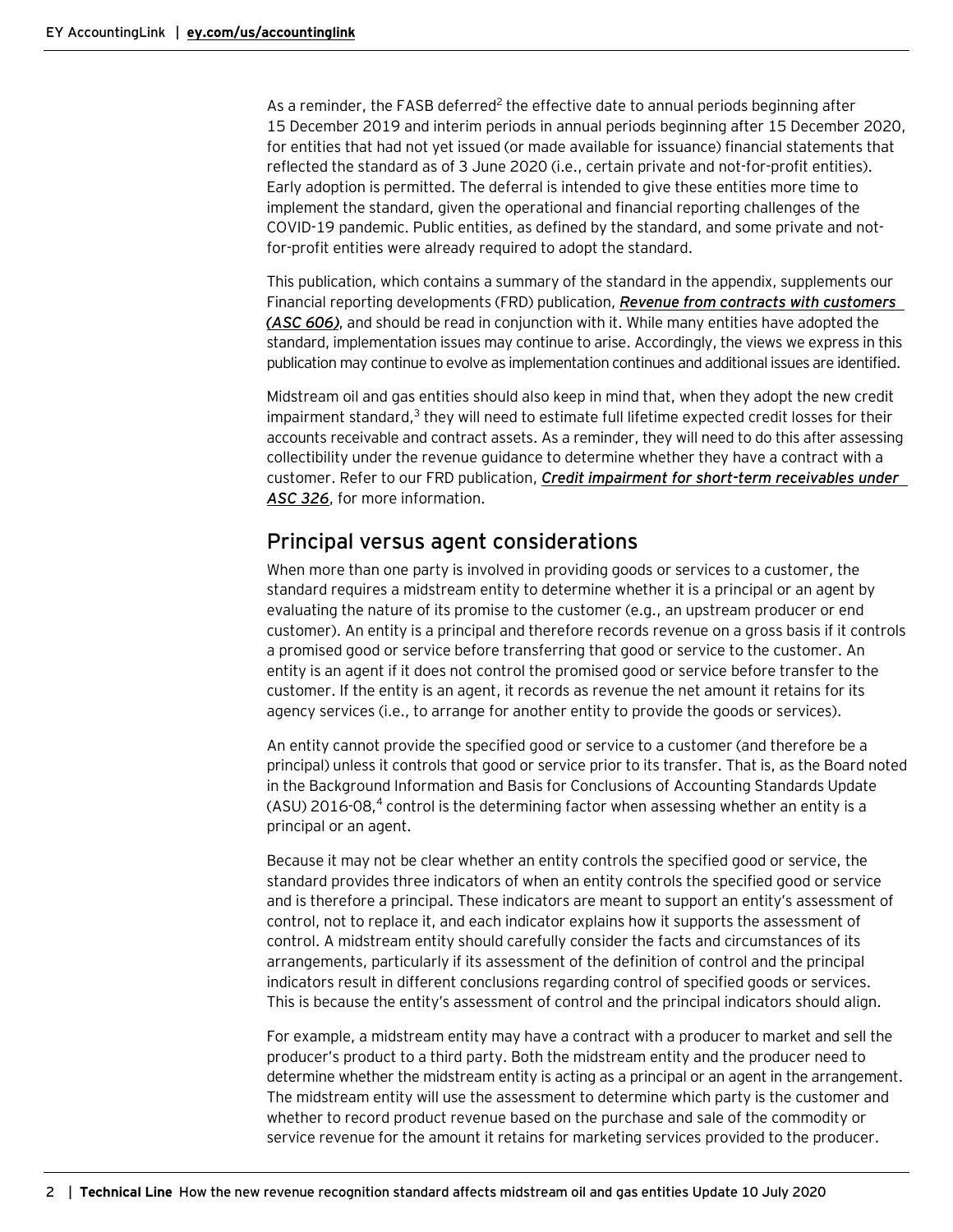As a reminder, the FASB deferred<sup>2</sup> the effective date to annual periods beginning after 15 December 2019 and interim periods in annual periods beginning after 15 December 2020, for entities that had not yet issued (or made available for issuance) financial statements that reflected the standard as of 3 June 2020 (i.e., certain private and not-for-profit entities). Early adoption is permitted. The deferral is intended to give these entities more time to implement the standard, given the operational and financial reporting challenges of the COVID-19 pandemic. Public entities, as defined by the standard, and some private and notfor-profit entities were already required to adopt the standard.

This publication, which contains a summary of the standard in the appendix, supplements our Financial reporting developments (FRD) publication, *[Revenue from contracts with customers](https://www.ey.com/en_us/assurance/accountinglink/financial-reporting-developments---revenue-from-contracts-with-c)  [\(ASC](https://www.ey.com/en_us/assurance/accountinglink/financial-reporting-developments---revenue-from-contracts-with-c) 606)*, and should be read in conjunction with it. While many entities have adopted the standard, implementation issues may continue to arise. Accordingly, the views we express in this publication may continue to evolve as implementation continues and additional issues are identified.

Midstream oil and gas entities should also keep in mind that, when they adopt the new credit impairment standard,<sup>3</sup> they will need to estimate full lifetime expected credit losses for their accounts receivable and contract assets. As a reminder, they will need to do this after assessing collectibility under the revenue guidance to determine whether they have a contract with a customer. Refer to our FRD publication, *[Credit impairment for short-term receivables under](https://www.ey.com/en_us/assurance/accountinglink/financial-reporting-developments---credit-impairment-for-short-t)  [ASC 326](https://www.ey.com/en_us/assurance/accountinglink/financial-reporting-developments---credit-impairment-for-short-t)*, for more information.

### <span id="page-1-0"></span>Principal versus agent considerations

When more than one party is involved in providing goods or services to a customer, the standard requires a midstream entity to determine whether it is a principal or an agent by evaluating the nature of its promise to the customer (e.g., an upstream producer or end customer). An entity is a principal and therefore records revenue on a gross basis if it controls a promised good or service before transferring that good or service to the customer. An entity is an agent if it does not control the promised good or service before transfer to the customer. If the entity is an agent, it records as revenue the net amount it retains for its agency services (i.e., to arrange for another entity to provide the goods or services).

An entity cannot provide the specified good or service to a customer (and therefore be a principal) unless it controls that good or service prior to its transfer. That is, as the Board noted in the Background Information and Basis for Conclusions of Accounting Standards Update  $(ASU)$  2016-08,<sup>4</sup> control is the determining factor when assessing whether an entity is a principal or an agent.

Because it may not be clear whether an entity controls the specified good or service, the standard provides three indicators of when an entity controls the specified good or service and is therefore a principal. These indicators are meant to support an entity's assessment of control, not to replace it, and each indicator explains how it supports the assessment of control. A midstream entity should carefully consider the facts and circumstances of its arrangements, particularly if its assessment of the definition of control and the principal indicators result in different conclusions regarding control of specified goods or services. This is because the entity's assessment of control and the principal indicators should align.

For example, a midstream entity may have a contract with a producer to market and sell the producer's product to a third party. Both the midstream entity and the producer need to determine whether the midstream entity is acting as a principal or an agent in the arrangement. The midstream entity will use the assessment to determine which party is the customer and whether to record product revenue based on the purchase and sale of the commodity or service revenue for the amount it retains for marketing services provided to the producer.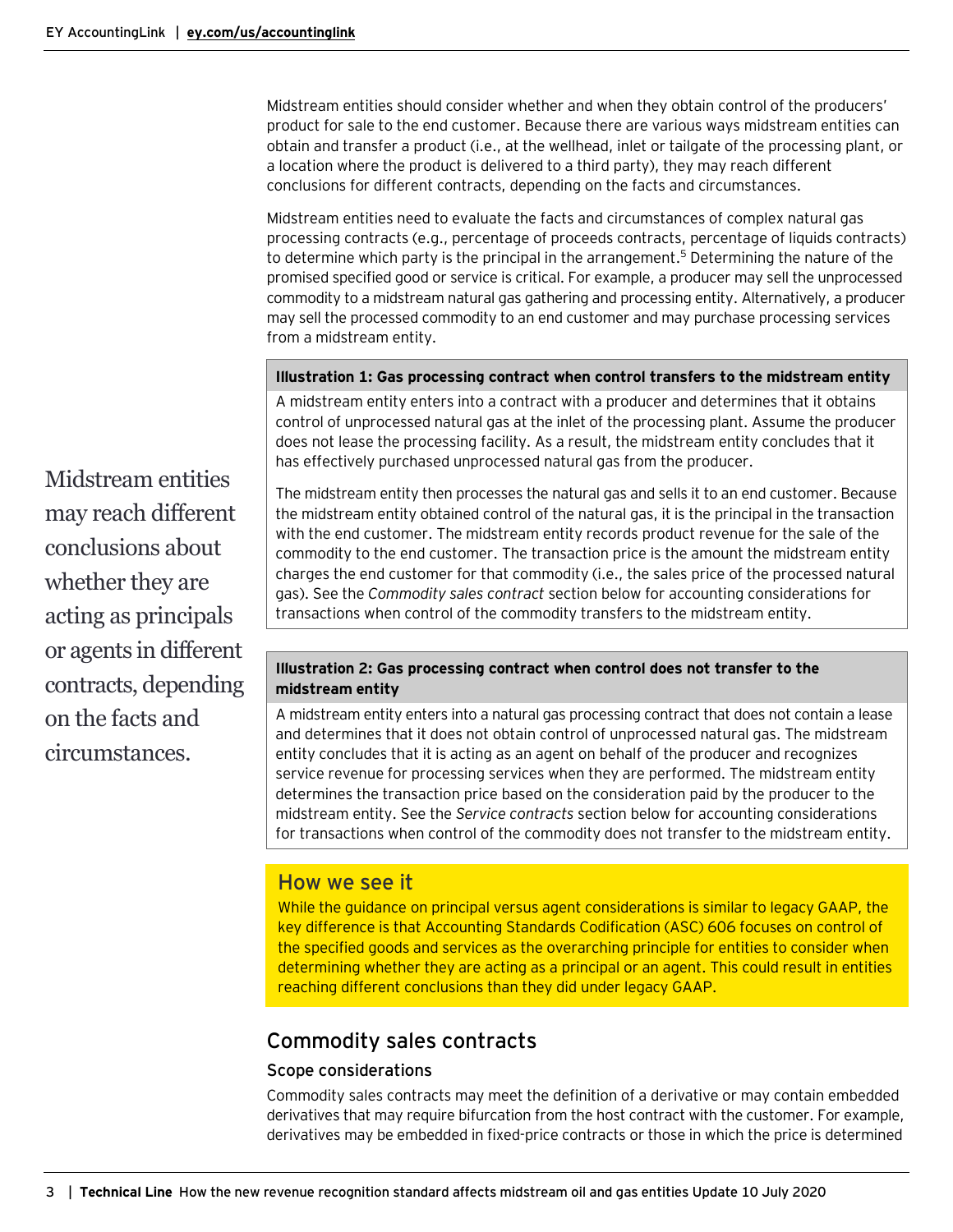Midstream entities should consider whether and when they obtain control of the producers' product for sale to the end customer. Because there are various ways midstream entities can obtain and transfer a product (i.e., at the wellhead, inlet or tailgate of the processing plant, or a location where the product is delivered to a third party), they may reach different conclusions for different contracts, depending on the facts and circumstances.

Midstream entities need to evaluate the facts and circumstances of complex natural gas processing contracts (e.g., percentage of proceeds contracts, percentage of liquids contracts) to determine which party is the principal in the arrangement.<sup>5</sup> Determining the nature of the promised specified good or service is critical. For example, a producer may sell the unprocessed commodity to a midstream natural gas gathering and processing entity. Alternatively, a producer may sell the processed commodity to an end customer and may purchase processing services from a midstream entity.

#### **Illustration 1: Gas processing contract when control transfers to the midstream entity**

A midstream entity enters into a contract with a producer and determines that it obtains control of unprocessed natural gas at the inlet of the processing plant. Assume the producer does not lease the processing facility. As a result, the midstream entity concludes that it has effectively purchased unprocessed natural gas from the producer.

Midstream entities may reach different conclusions about whether they are acting as principals or agents in different contracts, depending on the facts and circumstances.

The midstream entity then processes the natural gas and sells it to an end customer. Because the midstream entity obtained control of the natural gas, it is the principal in the transaction with the end customer. The midstream entity records product revenue for the sale of the commodity to the end customer. The transaction price is the amount the midstream entity charges the end customer for that commodity (i.e., the sales price of the processed natural gas). See the *Commodity sales contract* section below for accounting considerations for transactions when control of the commodity transfers to the midstream entity.

#### **Illustration 2: Gas processing contract when control does not transfer to the midstream entity**

A midstream entity enters into a natural gas processing contract that does not contain a lease and determines that it does not obtain control of unprocessed natural gas. The midstream entity concludes that it is acting as an agent on behalf of the producer and recognizes service revenue for processing services when they are performed. The midstream entity determines the transaction price based on the consideration paid by the producer to the midstream entity. See the *Service contracts* section below for accounting considerations for transactions when control of the commodity does not transfer to the midstream entity.

### How we see it

While the guidance on principal versus agent considerations is similar to legacy GAAP, the key difference is that Accounting Standards Codification (ASC) 606 focuses on control of the specified goods and services as the overarching principle for entities to consider when determining whether they are acting as a principal or an agent. This could result in entities reaching different conclusions than they did under legacy GAAP.

# <span id="page-2-0"></span>Commodity sales contracts

#### <span id="page-2-1"></span>Scope considerations

Commodity sales contracts may meet the definition of a derivative or may contain embedded derivatives that may require bifurcation from the host contract with the customer. For example, derivatives may be embedded in fixed-price contracts or those in which the price is determined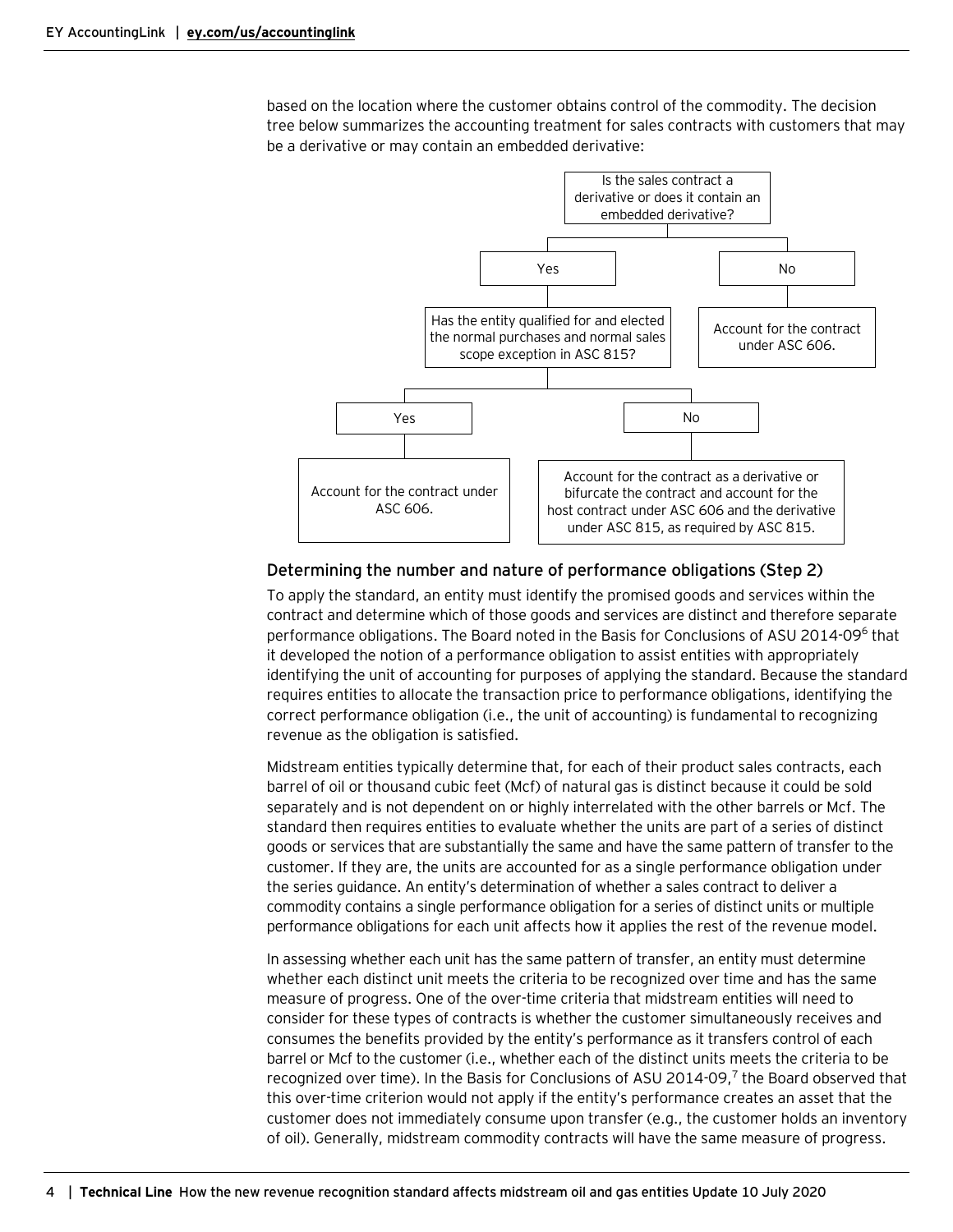based on the location where the customer obtains control of the commodity. The decision tree below summarizes the accounting treatment for sales contracts with customers that may be a derivative or may contain an embedded derivative:



#### <span id="page-3-0"></span>Determining the number and nature of performance obligations (Step 2)

To apply the standard, an entity must identify the promised goods and services within the contract and determine which of those goods and services are distinct and therefore separate performance obligations. The Board noted in the Basis for Conclusions of ASU 2014-096 that it developed the notion of a performance obligation to assist entities with appropriately identifying the unit of accounting for purposes of applying the standard. Because the standard requires entities to allocate the transaction price to performance obligations, identifying the correct performance obligation (i.e., the unit of accounting) is fundamental to recognizing revenue as the obligation is satisfied.

Midstream entities typically determine that, for each of their product sales contracts, each barrel of oil or thousand cubic feet (Mcf) of natural gas is distinct because it could be sold separately and is not dependent on or highly interrelated with the other barrels or Mcf. The standard then requires entities to evaluate whether the units are part of a series of distinct goods or services that are substantially the same and have the same pattern of transfer to the customer. If they are, the units are accounted for as a single performance obligation under the series guidance. An entity's determination of whether a sales contract to deliver a commodity contains a single performance obligation for a series of distinct units or multiple performance obligations for each unit affects how it applies the rest of the revenue model.

In assessing whether each unit has the same pattern of transfer, an entity must determine whether each distinct unit meets the criteria to be recognized over time and has the same measure of progress. One of the over-time criteria that midstream entities will need to consider for these types of contracts is whether the customer simultaneously receives and consumes the benefits provided by the entity's performance as it transfers control of each barrel or Mcf to the customer (i.e., whether each of the distinct units meets the criteria to be recognized over time). In the Basis for Conclusions of ASU 2014-09,<sup>7</sup> the Board observed that this over-time criterion would not apply if the entity's performance creates an asset that the customer does not immediately consume upon transfer (e.g., the customer holds an inventory of oil). Generally, midstream commodity contracts will have the same measure of progress.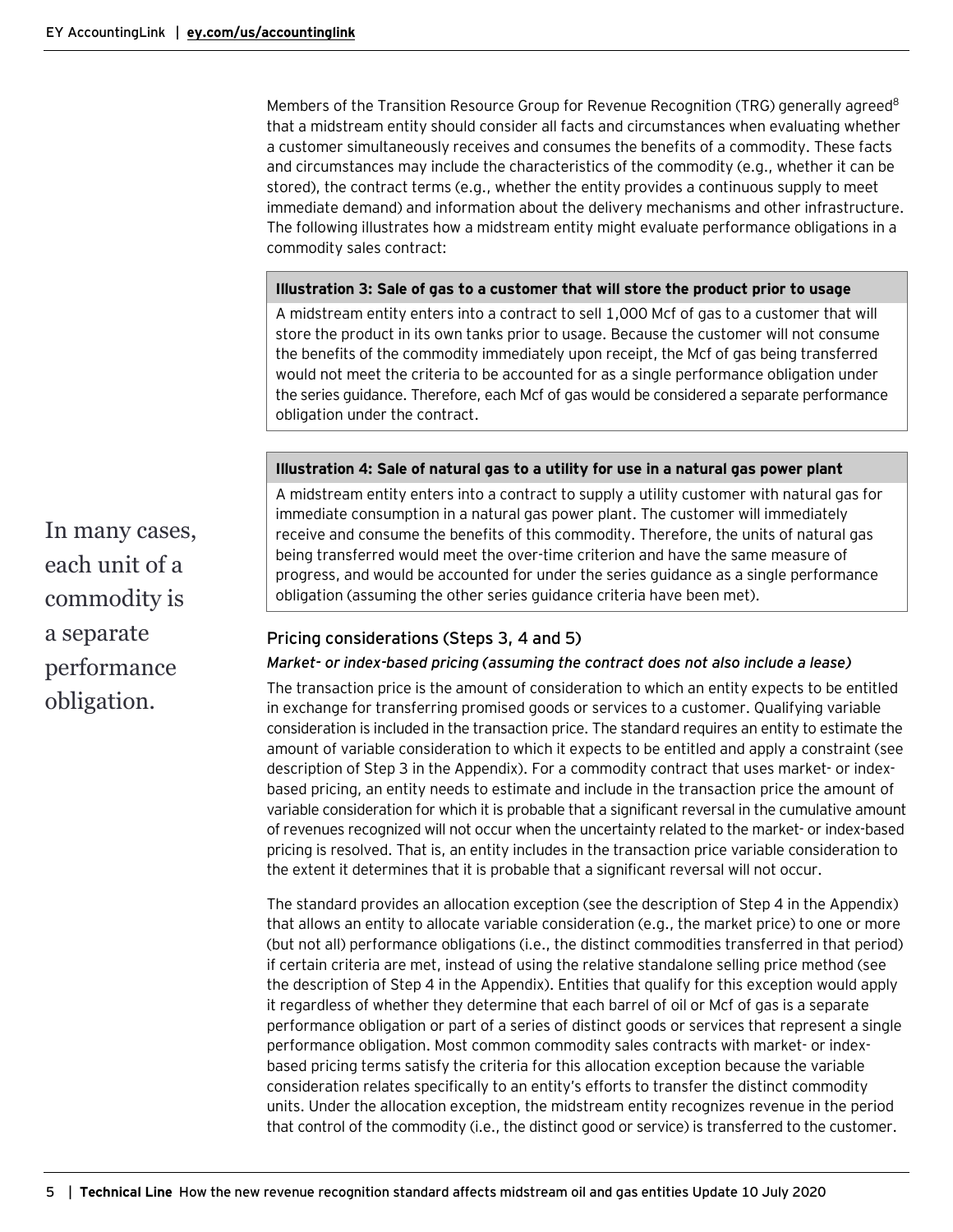Members of the Transition Resource Group for Revenue Recognition (TRG) generally agreed<sup>8</sup> that a midstream entity should consider all facts and circumstances when evaluating whether a customer simultaneously receives and consumes the benefits of a commodity. These facts and circumstances may include the characteristics of the commodity (e.g., whether it can be stored), the contract terms (e.g., whether the entity provides a continuous supply to meet immediate demand) and information about the delivery mechanisms and other infrastructure. The following illustrates how a midstream entity might evaluate performance obligations in a commodity sales contract:

#### **Illustration 3: Sale of gas to a customer that will store the product prior to usage**

A midstream entity enters into a contract to sell 1,000 Mcf of gas to a customer that will store the product in its own tanks prior to usage. Because the customer will not consume the benefits of the commodity immediately upon receipt, the Mcf of gas being transferred would not meet the criteria to be accounted for as a single performance obligation under the series guidance. Therefore, each Mcf of gas would be considered a separate performance obligation under the contract.

#### **Illustration 4: Sale of natural gas to a utility for use in a natural gas power plant**

A midstream entity enters into a contract to supply a utility customer with natural gas for immediate consumption in a natural gas power plant. The customer will immediately receive and consume the benefits of this commodity. Therefore, the units of natural gas being transferred would meet the over-time criterion and have the same measure of progress, and would be accounted for under the series guidance as a single performance obligation (assuming the other series guidance criteria have been met).

#### <span id="page-4-0"></span>Pricing considerations (Steps 3, 4 and 5)

#### *Market- or index-based pricing (assuming the contract does not also include a lease)*

The transaction price is the amount of consideration to which an entity expects to be entitled in exchange for transferring promised goods or services to a customer. Qualifying variable consideration is included in the transaction price. The standard requires an entity to estimate the amount of variable consideration to which it expects to be entitled and apply a constraint (see description of Step 3 in the Appendix). For a commodity contract that uses market- or indexbased pricing, an entity needs to estimate and include in the transaction price the amount of variable consideration for which it is probable that a significant reversal in the cumulative amount of revenues recognized will not occur when the uncertainty related to the market- or index-based pricing is resolved. That is, an entity includes in the transaction price variable consideration to the extent it determines that it is probable that a significant reversal will not occur.

The standard provides an allocation exception (see the description of Step 4 in the Appendix) that allows an entity to allocate variable consideration (e.g., the market price) to one or more (but not all) performance obligations (i.e., the distinct commodities transferred in that period) if certain criteria are met, instead of using the relative standalone selling price method (see the description of Step 4 in the Appendix). Entities that qualify for this exception would apply it regardless of whether they determine that each barrel of oil or Mcf of gas is a separate performance obligation or part of a series of distinct goods or services that represent a single performance obligation. Most common commodity sales contracts with market- or indexbased pricing terms satisfy the criteria for this allocation exception because the variable consideration relates specifically to an entity's efforts to transfer the distinct commodity units. Under the allocation exception, the midstream entity recognizes revenue in the period that control of the commodity (i.e., the distinct good or service) is transferred to the customer.

In many cases, each unit of a commodity is a separate performance obligation.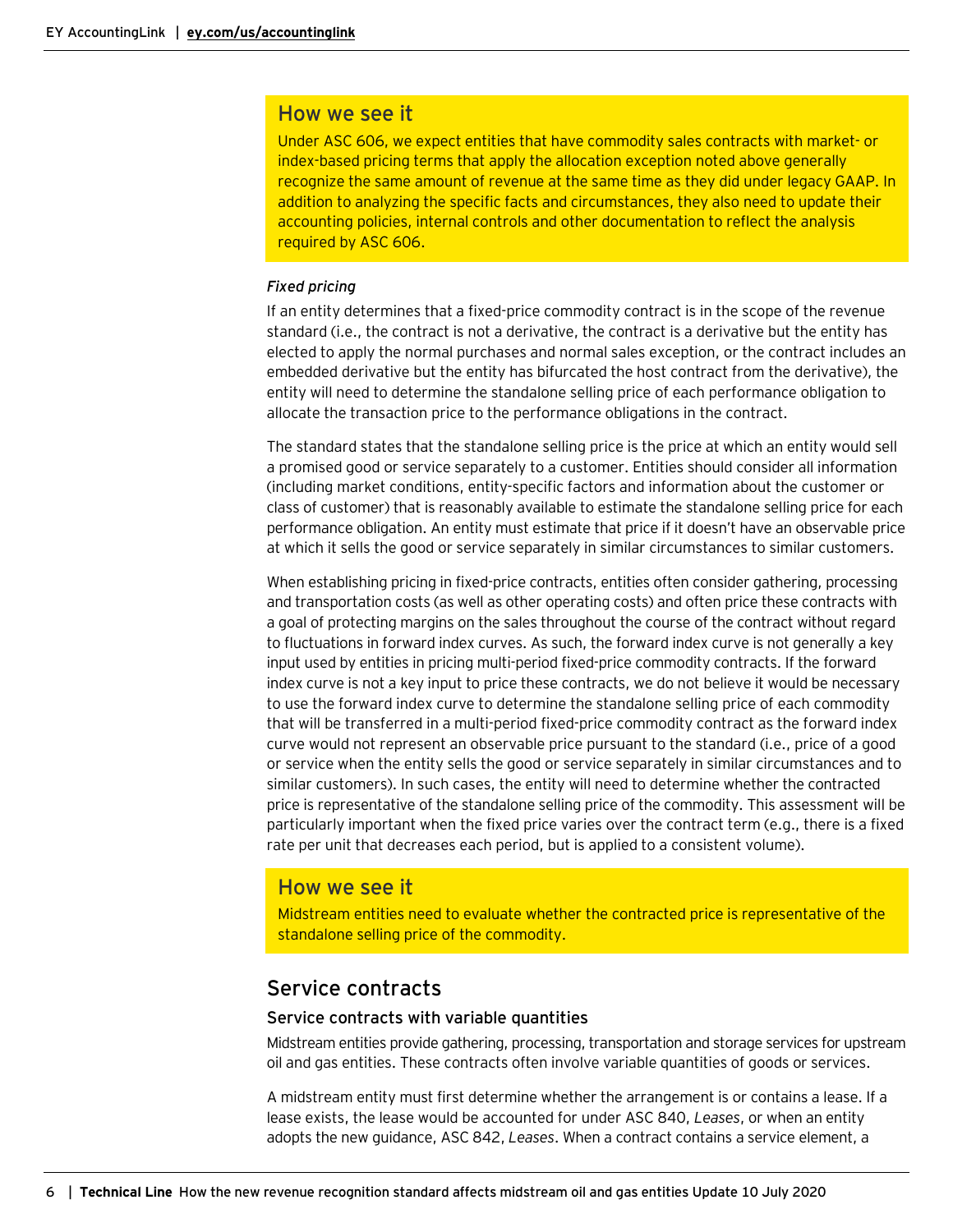#### How we see it

Under ASC 606, we expect entities that have commodity sales contracts with market- or index-based pricing terms that apply the allocation exception noted above generally recognize the same amount of revenue at the same time as they did under legacy GAAP. In addition to analyzing the specific facts and circumstances, they also need to update their accounting policies, internal controls and other documentation to reflect the analysis required by ASC 606.

#### *Fixed pricing*

If an entity determines that a fixed-price commodity contract is in the scope of the revenue standard (i.e., the contract is not a derivative, the contract is a derivative but the entity has elected to apply the normal purchases and normal sales exception, or the contract includes an embedded derivative but the entity has bifurcated the host contract from the derivative), the entity will need to determine the standalone selling price of each performance obligation to allocate the transaction price to the performance obligations in the contract.

The standard states that the standalone selling price is the price at which an entity would sell a promised good or service separately to a customer. Entities should consider all information (including market conditions, entity-specific factors and information about the customer or class of customer) that is reasonably available to estimate the standalone selling price for each performance obligation. An entity must estimate that price if it doesn't have an observable price at which it sells the good or service separately in similar circumstances to similar customers.

When establishing pricing in fixed-price contracts, entities often consider gathering, processing and transportation costs (as well as other operating costs) and often price these contracts with a goal of protecting margins on the sales throughout the course of the contract without regard to fluctuations in forward index curves. As such, the forward index curve is not generally a key input used by entities in pricing multi-period fixed-price commodity contracts. If the forward index curve is not a key input to price these contracts, we do not believe it would be necessary to use the forward index curve to determine the standalone selling price of each commodity that will be transferred in a multi-period fixed-price commodity contract as the forward index curve would not represent an observable price pursuant to the standard (i.e., price of a good or service when the entity sells the good or service separately in similar circumstances and to similar customers). In such cases, the entity will need to determine whether the contracted price is representative of the standalone selling price of the commodity. This assessment will be particularly important when the fixed price varies over the contract term (e.g., there is a fixed rate per unit that decreases each period, but is applied to a consistent volume).

#### How we see it

Midstream entities need to evaluate whether the contracted price is representative of the standalone selling price of the commodity.

### <span id="page-5-0"></span>Service contracts

#### <span id="page-5-1"></span>Service contracts with variable quantities

Midstream entities provide gathering, processing, transportation and storage services for upstream oil and gas entities. These contracts often involve variable quantities of goods or services.

A midstream entity must first determine whether the arrangement is or contains a lease. If a lease exists, the lease would be accounted for under ASC 840, *Leases*, or when an entity adopts the new guidance, ASC 842, *Leases*. When a contract contains a service element, a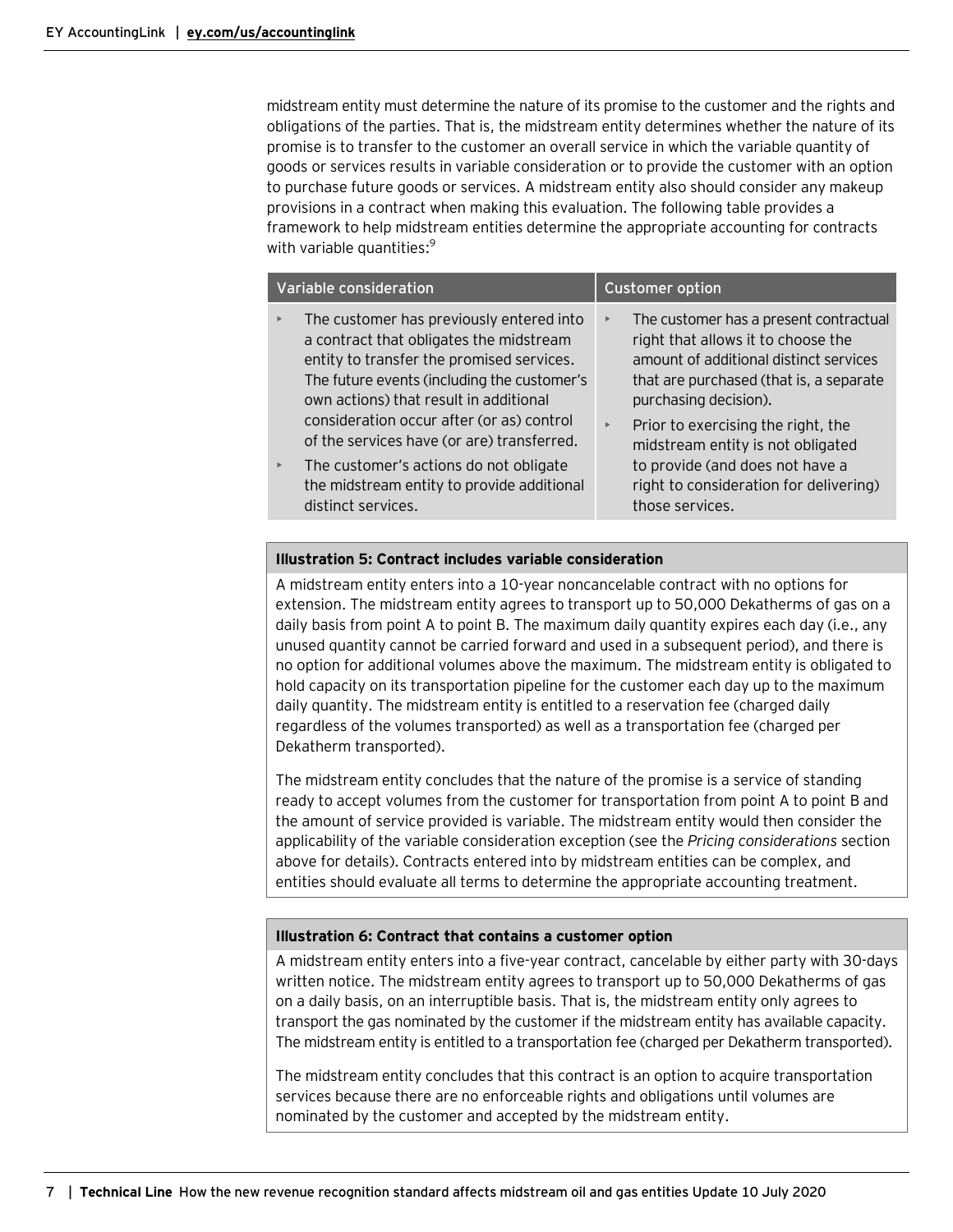midstream entity must determine the nature of its promise to the customer and the rights and obligations of the parties. That is, the midstream entity determines whether the nature of its promise is to transfer to the customer an overall service in which the variable quantity of goods or services results in variable consideration or to provide the customer with an option to purchase future goods or services. A midstream entity also should consider any makeup provisions in a contract when making this evaluation. The following table provides a framework to help midstream entities determine the appropriate accounting for contracts with variable quantities: 9

| Variable consideration |                                                                                                                                                                                                                           |                       | <b>Customer option</b>                                                                                                                                                                     |  |
|------------------------|---------------------------------------------------------------------------------------------------------------------------------------------------------------------------------------------------------------------------|-----------------------|--------------------------------------------------------------------------------------------------------------------------------------------------------------------------------------------|--|
| $\blacktriangleright$  | The customer has previously entered into<br>a contract that obligates the midstream<br>entity to transfer the promised services.<br>The future events (including the customer's<br>own actions) that result in additional | $\blacktriangleright$ | The customer has a present contractual<br>right that allows it to choose the<br>amount of additional distinct services<br>that are purchased (that is, a separate<br>purchasing decision). |  |
|                        | consideration occur after (or as) control<br>of the services have (or are) transferred.                                                                                                                                   | $\blacktriangleright$ | Prior to exercising the right, the<br>midstream entity is not obligated                                                                                                                    |  |
| $\blacktriangleright$  | The customer's actions do not obligate<br>the midstream entity to provide additional<br>distinct services.                                                                                                                |                       | to provide (and does not have a<br>right to consideration for delivering)<br>those services.                                                                                               |  |

#### **Illustration 5: Contract includes variable consideration**

A midstream entity enters into a 10-year noncancelable contract with no options for extension. The midstream entity agrees to transport up to 50,000 Dekatherms of gas on a daily basis from point A to point B. The maximum daily quantity expires each day (i.e., any unused quantity cannot be carried forward and used in a subsequent period), and there is no option for additional volumes above the maximum. The midstream entity is obligated to hold capacity on its transportation pipeline for the customer each day up to the maximum daily quantity. The midstream entity is entitled to a reservation fee (charged daily regardless of the volumes transported) as well as a transportation fee (charged per Dekatherm transported).

The midstream entity concludes that the nature of the promise is a service of standing ready to accept volumes from the customer for transportation from point A to point B and the amount of service provided is variable. The midstream entity would then consider the applicability of the variable consideration exception (see the *Pricing considerations* section above for details). Contracts entered into by midstream entities can be complex, and entities should evaluate all terms to determine the appropriate accounting treatment.

#### **Illustration 6: Contract that contains a customer option**

A midstream entity enters into a five-year contract, cancelable by either party with 30-days written notice. The midstream entity agrees to transport up to 50,000 Dekatherms of gas on a daily basis, on an interruptible basis. That is, the midstream entity only agrees to transport the gas nominated by the customer if the midstream entity has available capacity. The midstream entity is entitled to a transportation fee (charged per Dekatherm transported).

The midstream entity concludes that this contract is an option to acquire transportation services because there are no enforceable rights and obligations until volumes are nominated by the customer and accepted by the midstream entity.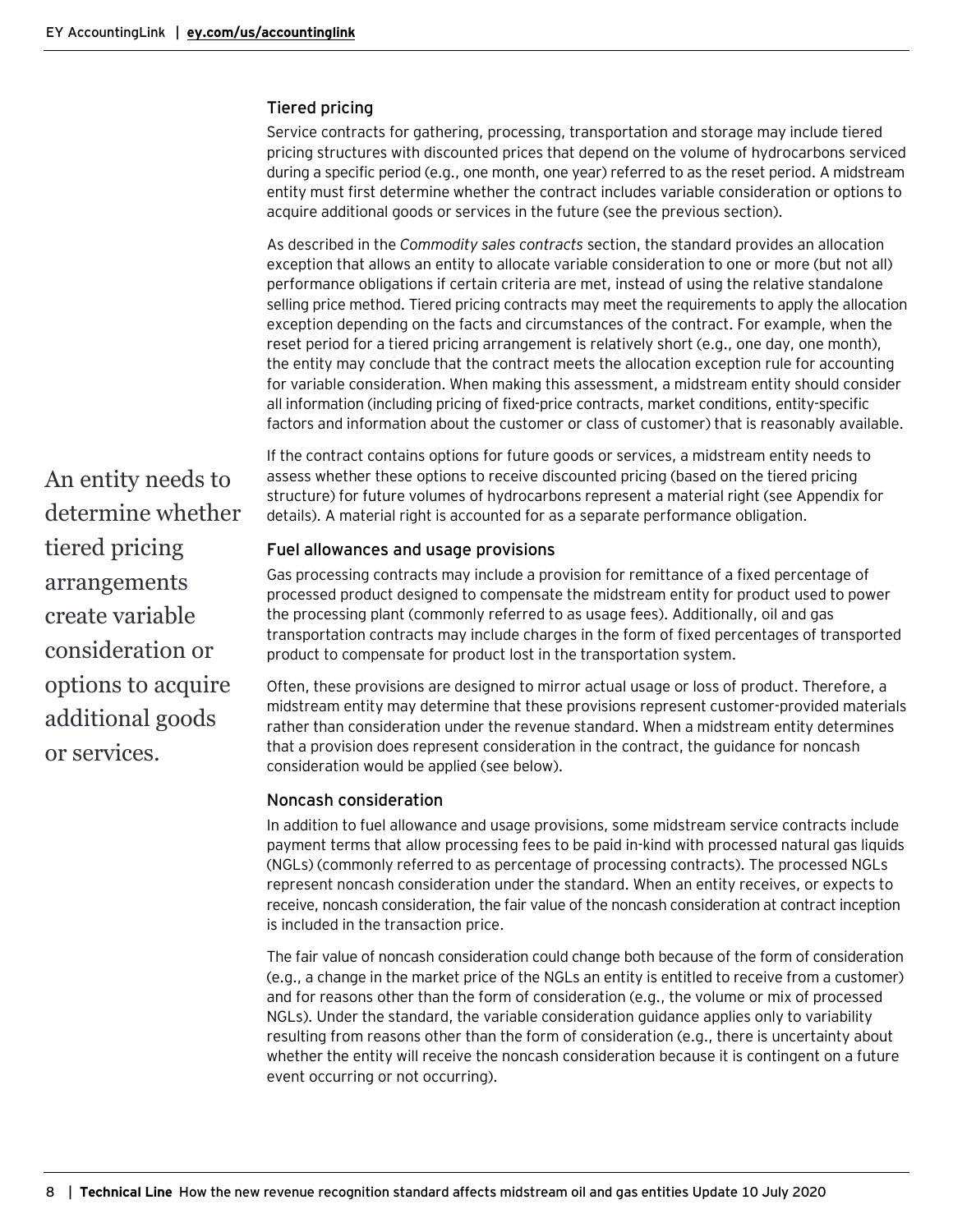#### <span id="page-7-0"></span>Tiered pricing

Service contracts for gathering, processing, transportation and storage may include tiered pricing structures with discounted prices that depend on the volume of hydrocarbons serviced during a specific period (e.g., one month, one year) referred to as the reset period. A midstream entity must first determine whether the contract includes variable consideration or options to acquire additional goods or services in the future (see the previous section).

As described in the *Commodity sales contracts* section, the standard provides an allocation exception that allows an entity to allocate variable consideration to one or more (but not all) performance obligations if certain criteria are met, instead of using the relative standalone selling price method. Tiered pricing contracts may meet the requirements to apply the allocation exception depending on the facts and circumstances of the contract. For example, when the reset period for a tiered pricing arrangement is relatively short (e.g., one day, one month), the entity may conclude that the contract meets the allocation exception rule for accounting for variable consideration. When making this assessment, a midstream entity should consider all information (including pricing of fixed-price contracts, market conditions, entity-specific factors and information about the customer or class of customer) that is reasonably available.

If the contract contains options for future goods or services, a midstream entity needs to assess whether these options to receive discounted pricing (based on the tiered pricing structure) for future volumes of hydrocarbons represent a material right (see Appendix for details). A material right is accounted for as a separate performance obligation.

#### <span id="page-7-1"></span>Fuel allowances and usage provisions

Gas processing contracts may include a provision for remittance of a fixed percentage of processed product designed to compensate the midstream entity for product used to power the processing plant (commonly referred to as usage fees). Additionally, oil and gas transportation contracts may include charges in the form of fixed percentages of transported product to compensate for product lost in the transportation system.

Often, these provisions are designed to mirror actual usage or loss of product. Therefore, a midstream entity may determine that these provisions represent customer-provided materials rather than consideration under the revenue standard. When a midstream entity determines that a provision does represent consideration in the contract, the guidance for noncash consideration would be applied (see below).

#### <span id="page-7-2"></span>Noncash consideration

In addition to fuel allowance and usage provisions, some midstream service contracts include payment terms that allow processing fees to be paid in-kind with processed natural gas liquids (NGLs) (commonly referred to as percentage of processing contracts). The processed NGLs represent noncash consideration under the standard. When an entity receives, or expects to receive, noncash consideration, the fair value of the noncash consideration at contract inception is included in the transaction price.

The fair value of noncash consideration could change both because of the form of consideration (e.g., a change in the market price of the NGLs an entity is entitled to receive from a customer) and for reasons other than the form of consideration (e.g., the volume or mix of processed NGLs). Under the standard, the variable consideration guidance applies only to variability resulting from reasons other than the form of consideration (e.g., there is uncertainty about whether the entity will receive the noncash consideration because it is contingent on a future event occurring or not occurring).

An entity needs to determine whether tiered pricing arrangements create variable consideration or options to acquire additional goods or services.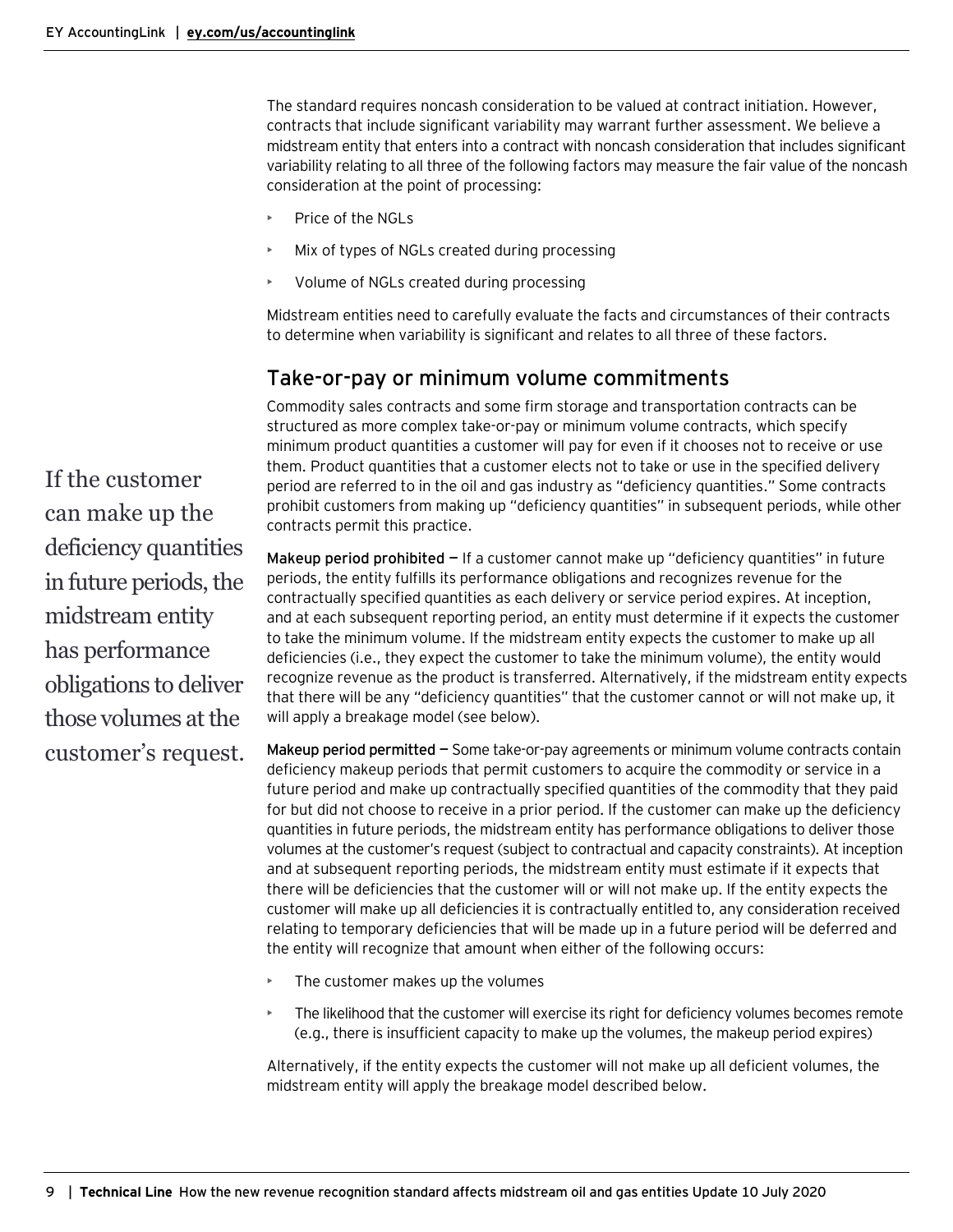The standard requires noncash consideration to be valued at contract initiation. However, contracts that include significant variability may warrant further assessment. We believe a midstream entity that enters into a contract with noncash consideration that includes significant variability relating to all three of the following factors may measure the fair value of the noncash consideration at the point of processing:

- Price of the NGLs
- Mix of types of NGLs created during processing
- Volume of NGLs created during processing

Midstream entities need to carefully evaluate the facts and circumstances of their contracts to determine when variability is significant and relates to all three of these factors.

### <span id="page-8-0"></span>Take-or-pay or minimum volume commitments

Commodity sales contracts and some firm storage and transportation contracts can be structured as more complex take-or-pay or minimum volume contracts, which specify minimum product quantities a customer will pay for even if it chooses not to receive or use them. Product quantities that a customer elects not to take or use in the specified delivery period are referred to in the oil and gas industry as "deficiency quantities." Some contracts prohibit customers from making up "deficiency quantities" in subsequent periods, while other contracts permit this practice.

**Makeup period prohibited —** If a customer cannot make up "deficiency quantities" in future periods, the entity fulfills its performance obligations and recognizes revenue for the contractually specified quantities as each delivery or service period expires. At inception, and at each subsequent reporting period, an entity must determine if it expects the customer to take the minimum volume. If the midstream entity expects the customer to make up all deficiencies (i.e., they expect the customer to take the minimum volume), the entity would recognize revenue as the product is transferred. Alternatively, if the midstream entity expects that there will be any "deficiency quantities" that the customer cannot or will not make up, it will apply a breakage model (see below).

**Makeup period permitted —** Some take-or-pay agreements or minimum volume contracts contain deficiency makeup periods that permit customers to acquire the commodity or service in a future period and make up contractually specified quantities of the commodity that they paid for but did not choose to receive in a prior period. If the customer can make up the deficiency quantities in future periods, the midstream entity has performance obligations to deliver those volumes at the customer's request (subject to contractual and capacity constraints). At inception and at subsequent reporting periods, the midstream entity must estimate if it expects that there will be deficiencies that the customer will or will not make up. If the entity expects the customer will make up all deficiencies it is contractually entitled to, any consideration received relating to temporary deficiencies that will be made up in a future period will be deferred and the entity will recognize that amount when either of the following occurs:

- The customer makes up the volumes
- The likelihood that the customer will exercise its right for deficiency volumes becomes remote (e.g., there is insufficient capacity to make up the volumes, the makeup period expires)

Alternatively, if the entity expects the customer will not make up all deficient volumes, the midstream entity will apply the breakage model described below.

If the customer can make up the deficiency quantities in future periods, the midstream entity has performance obligations to deliver those volumes at the customer's request.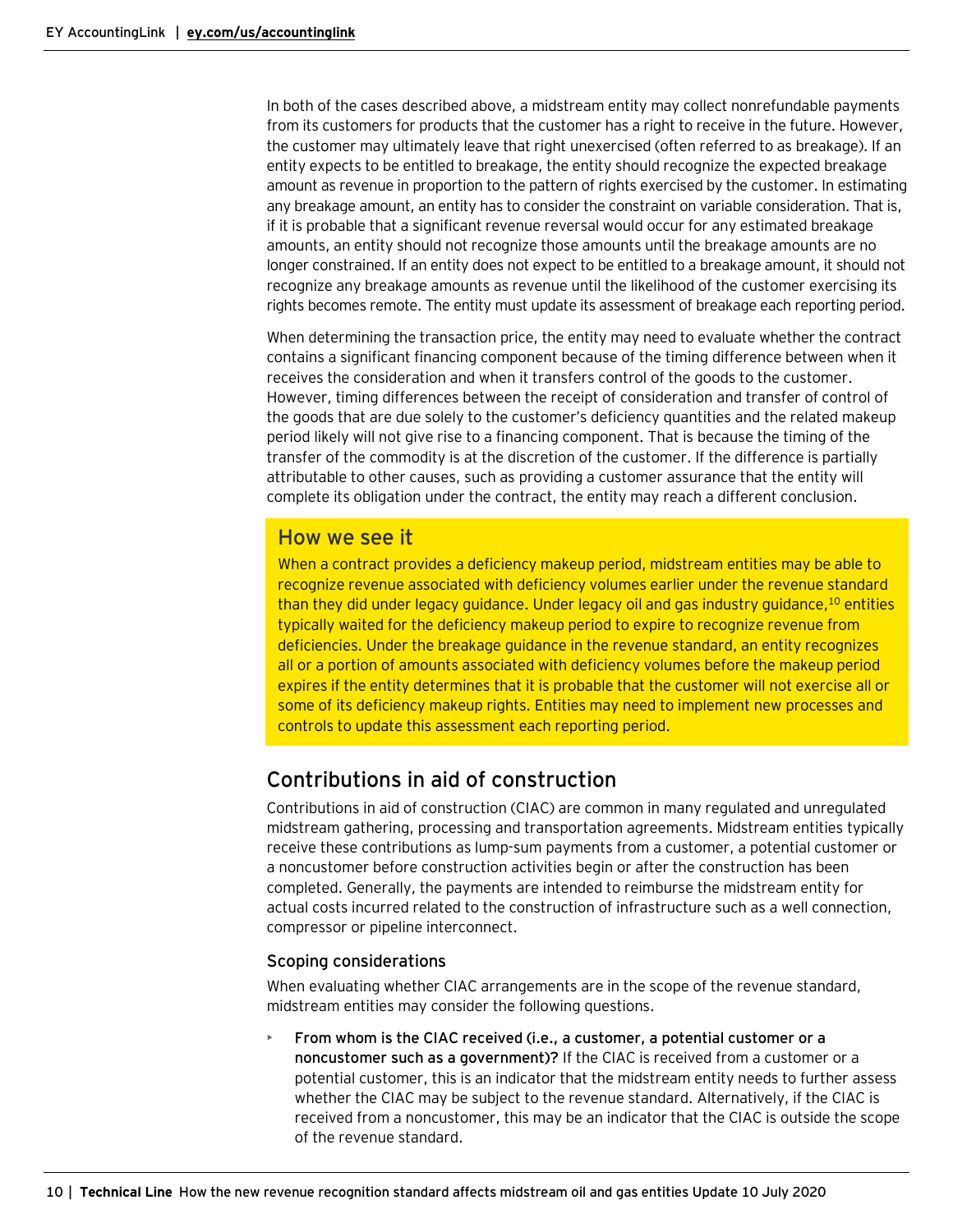In both of the cases described above, a midstream entity may collect nonrefundable payments from its customers for products that the customer has a right to receive in the future. However, the customer may ultimately leave that right unexercised (often referred to as breakage). If an entity expects to be entitled to breakage, the entity should recognize the expected breakage amount as revenue in proportion to the pattern of rights exercised by the customer. In estimating any breakage amount, an entity has to consider the constraint on variable consideration. That is, if it is probable that a significant revenue reversal would occur for any estimated breakage amounts, an entity should not recognize those amounts until the breakage amounts are no longer constrained. If an entity does not expect to be entitled to a breakage amount, it should not recognize any breakage amounts as revenue until the likelihood of the customer exercising its rights becomes remote. The entity must update its assessment of breakage each reporting period.

When determining the transaction price, the entity may need to evaluate whether the contract contains a significant financing component because of the timing difference between when it receives the consideration and when it transfers control of the goods to the customer. However, timing differences between the receipt of consideration and transfer of control of the goods that are due solely to the customer's deficiency quantities and the related makeup period likely will not give rise to a financing component. That is because the timing of the transfer of the commodity is at the discretion of the customer. If the difference is partially attributable to other causes, such as providing a customer assurance that the entity will complete its obligation under the contract, the entity may reach a different conclusion.

### How we see it

When a contract provides a deficiency makeup period, midstream entities may be able to recognize revenue associated with deficiency volumes earlier under the revenue standard than they did under legacy guidance. Under legacy oil and gas industry guidance,<sup>10</sup> entities typically waited for the deficiency makeup period to expire to recognize revenue from deficiencies. Under the breakage guidance in the revenue standard, an entity recognizes all or a portion of amounts associated with deficiency volumes before the makeup period expires if the entity determines that it is probable that the customer will not exercise all or some of its deficiency makeup rights. Entities may need to implement new processes and controls to update this assessment each reporting period.

# <span id="page-9-0"></span>Contributions in aid of construction

Contributions in aid of construction (CIAC) are common in many regulated and unregulated midstream gathering, processing and transportation agreements. Midstream entities typically receive these contributions as lump-sum payments from a customer, a potential customer or a noncustomer before construction activities begin or after the construction has been completed. Generally, the payments are intended to reimburse the midstream entity for actual costs incurred related to the construction of infrastructure such as a well connection, compressor or pipeline interconnect.

#### <span id="page-9-1"></span>Scoping considerations

When evaluating whether CIAC arrangements are in the scope of the revenue standard, midstream entities may consider the following questions.

• **From whom is the CIAC received (i.e., a customer, a potential customer or a noncustomer such as a government)?** If the CIAC is received from a customer or a potential customer, this is an indicator that the midstream entity needs to further assess whether the CIAC may be subject to the revenue standard. Alternatively, if the CIAC is received from a noncustomer, this may be an indicator that the CIAC is outside the scope of the revenue standard.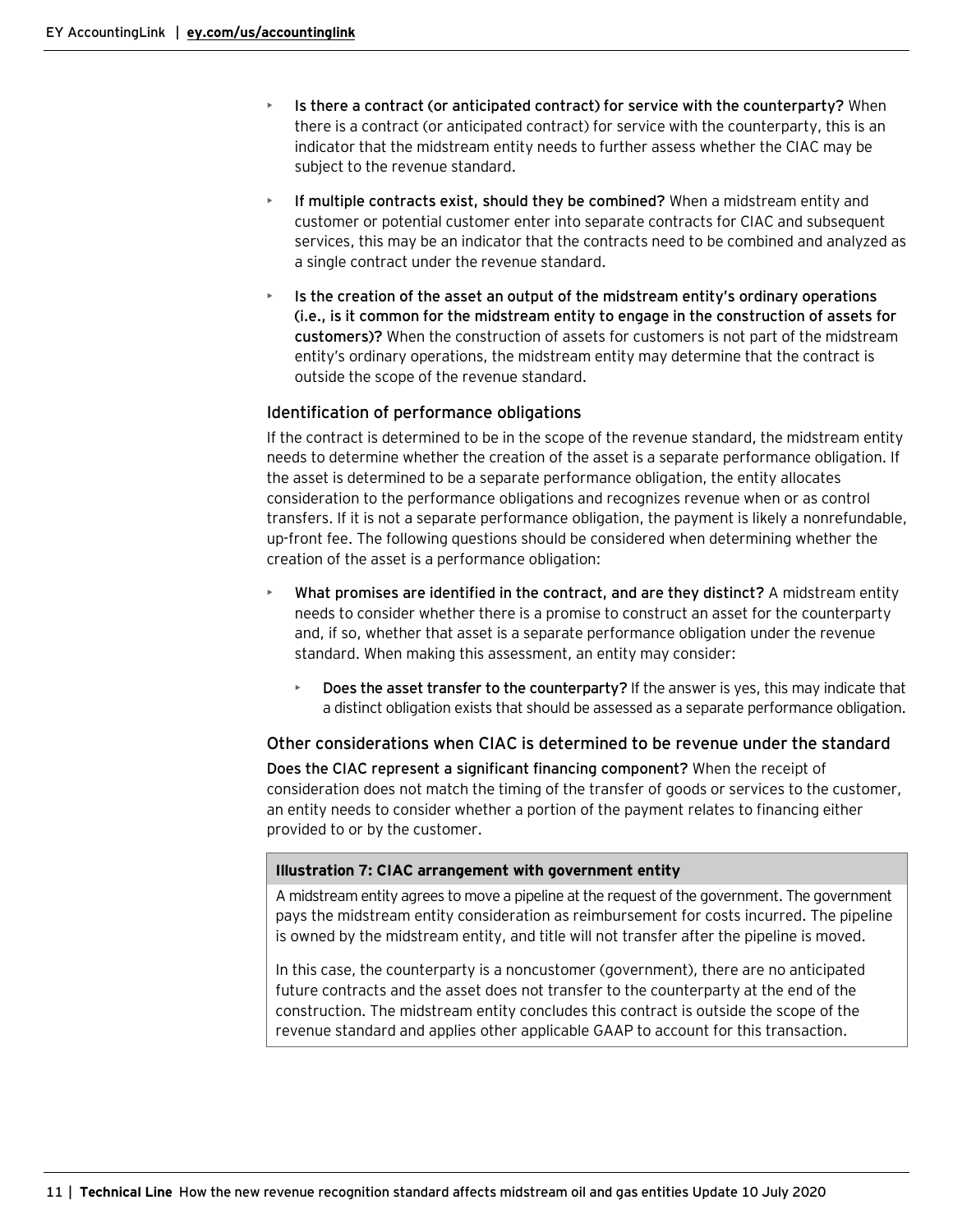- **Is there a contract (or anticipated contract) for service with the counterparty?** When there is a contract (or anticipated contract) for service with the counterparty, this is an indicator that the midstream entity needs to further assess whether the CIAC may be subject to the revenue standard.
- **If multiple contracts exist, should they be combined?** When a midstream entity and customer or potential customer enter into separate contracts for CIAC and subsequent services, this may be an indicator that the contracts need to be combined and analyzed as a single contract under the revenue standard.
- **Is the creation of the asset an output of the midstream entity's ordinary operations (i.e., is it common for the midstream entity to engage in the construction of assets for customers)?** When the construction of assets for customers is not part of the midstream entity's ordinary operations, the midstream entity may determine that the contract is outside the scope of the revenue standard.

#### <span id="page-10-0"></span>Identification of performance obligations

If the contract is determined to be in the scope of the revenue standard, the midstream entity needs to determine whether the creation of the asset is a separate performance obligation. If the asset is determined to be a separate performance obligation, the entity allocates consideration to the performance obligations and recognizes revenue when or as control transfers. If it is not a separate performance obligation, the payment is likely a nonrefundable, up-front fee. The following questions should be considered when determining whether the creation of the asset is a performance obligation:

- **What promises are identified in the contract, and are they distinct?** A midstream entity needs to consider whether there is a promise to construct an asset for the counterparty and, if so, whether that asset is a separate performance obligation under the revenue standard. When making this assessment, an entity may consider:
	- **Does the asset transfer to the counterparty?** If the answer is yes, this may indicate that a distinct obligation exists that should be assessed as a separate performance obligation.

<span id="page-10-1"></span>Other considerations when CIAC is determined to be revenue under the standard **Does the CIAC represent a significant financing component?** When the receipt of consideration does not match the timing of the transfer of goods or services to the customer, an entity needs to consider whether a portion of the payment relates to financing either provided to or by the customer.

#### **Illustration 7: CIAC arrangement with government entity**

A midstream entity agrees to move a pipeline at the request of the government. The government pays the midstream entity consideration as reimbursement for costs incurred. The pipeline is owned by the midstream entity, and title will not transfer after the pipeline is moved.

In this case, the counterparty is a noncustomer (government), there are no anticipated future contracts and the asset does not transfer to the counterparty at the end of the construction. The midstream entity concludes this contract is outside the scope of the revenue standard and applies other applicable GAAP to account for this transaction.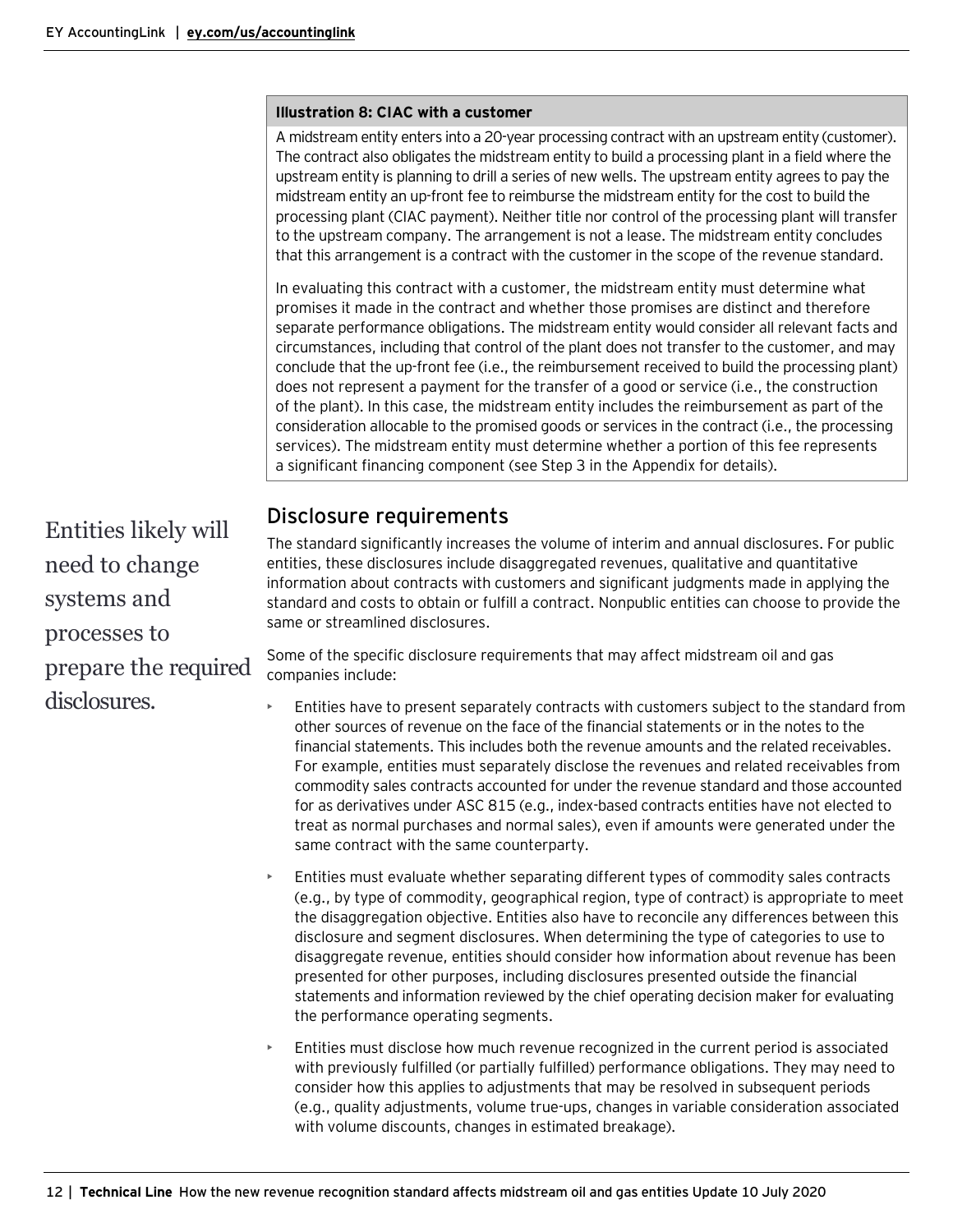#### **Illustration 8: CIAC with a customer**

A midstream entity enters into a 20-year processing contract with an upstream entity (customer). The contract also obligates the midstream entity to build a processing plant in a field where the upstream entity is planning to drill a series of new wells. The upstream entity agrees to pay the midstream entity an up-front fee to reimburse the midstream entity for the cost to build the processing plant (CIAC payment). Neither title nor control of the processing plant will transfer to the upstream company. The arrangement is not a lease. The midstream entity concludes that this arrangement is a contract with the customer in the scope of the revenue standard.

In evaluating this contract with a customer, the midstream entity must determine what promises it made in the contract and whether those promises are distinct and therefore separate performance obligations. The midstream entity would consider all relevant facts and circumstances, including that control of the plant does not transfer to the customer, and may conclude that the up-front fee (i.e., the reimbursement received to build the processing plant) does not represent a payment for the transfer of a good or service (i.e., the construction of the plant). In this case, the midstream entity includes the reimbursement as part of the consideration allocable to the promised goods or services in the contract (i.e., the processing services). The midstream entity must determine whether a portion of this fee represents a significant financing component (see Step 3 in the Appendix for details).

### <span id="page-11-0"></span>Disclosure requirements

The standard significantly increases the volume of interim and annual disclosures. For public entities, these disclosures include disaggregated revenues, qualitative and quantitative information about contracts with customers and significant judgments made in applying the standard and costs to obtain or fulfill a contract. Nonpublic entities can choose to provide the same or streamlined disclosures.

Some of the specific disclosure requirements that may affect midstream oil and gas companies include:

- Entities have to present separately contracts with customers subject to the standard from other sources of revenue on the face of the financial statements or in the notes to the financial statements. This includes both the revenue amounts and the related receivables. For example, entities must separately disclose the revenues and related receivables from commodity sales contracts accounted for under the revenue standard and those accounted for as derivatives under ASC 815 (e.g., index-based contracts entities have not elected to treat as normal purchases and normal sales), even if amounts were generated under the same contract with the same counterparty.
- Entities must evaluate whether separating different types of commodity sales contracts (e.g., by type of commodity, geographical region, type of contract) is appropriate to meet the disaggregation objective. Entities also have to reconcile any differences between this disclosure and segment disclosures. When determining the type of categories to use to disaggregate revenue, entities should consider how information about revenue has been presented for other purposes, including disclosures presented outside the financial statements and information reviewed by the chief operating decision maker for evaluating the performance operating segments.
- Entities must disclose how much revenue recognized in the current period is associated with previously fulfilled (or partially fulfilled) performance obligations. They may need to consider how this applies to adjustments that may be resolved in subsequent periods (e.g., quality adjustments, volume true-ups, changes in variable consideration associated with volume discounts, changes in estimated breakage).

Entities likely will need to change systems and processes to prepare the required disclosures.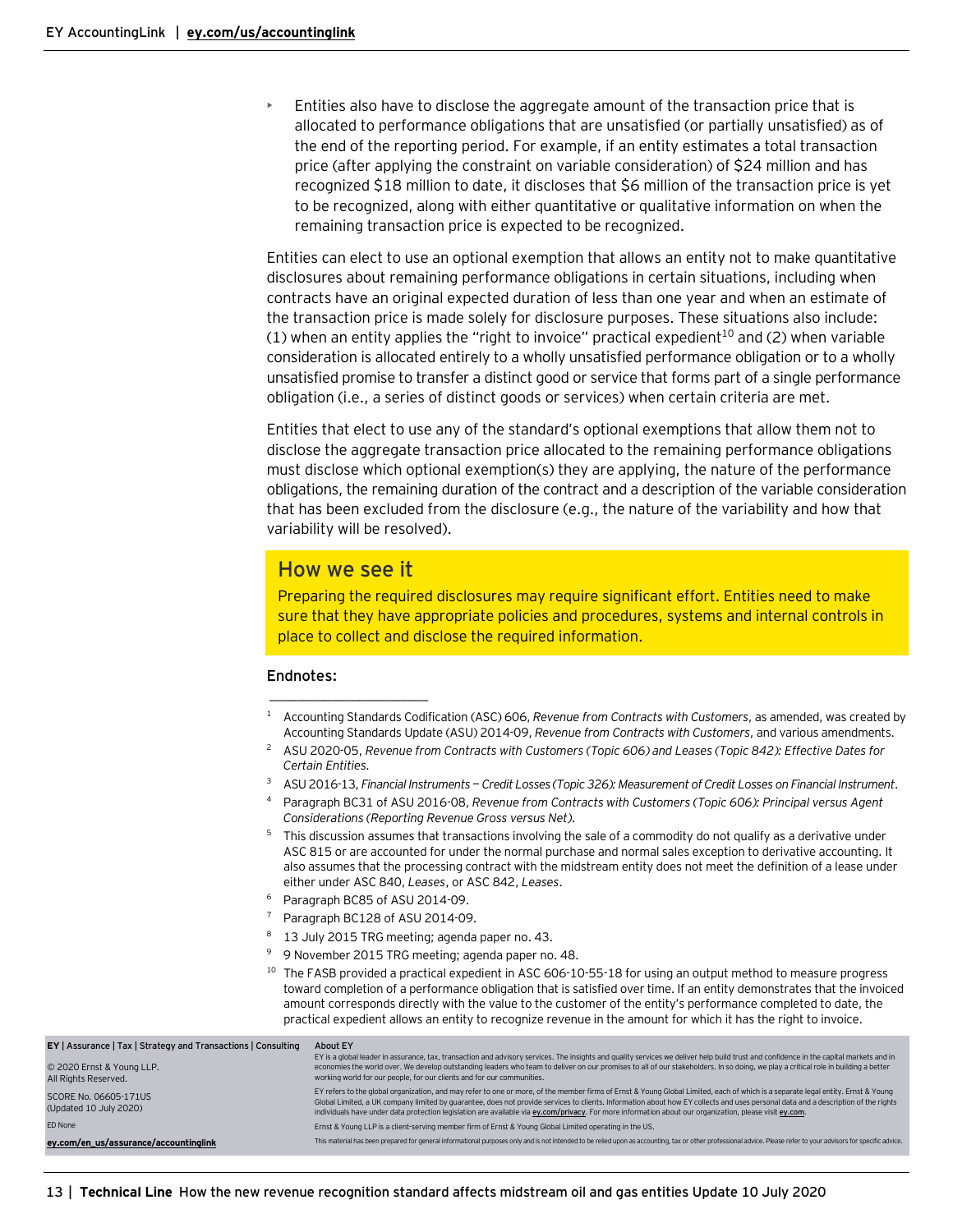• Entities also have to disclose the aggregate amount of the transaction price that is allocated to performance obligations that are unsatisfied (or partially unsatisfied) as of the end of the reporting period. For example, if an entity estimates a total transaction price (after applying the constraint on variable consideration) of \$24 million and has recognized \$18 million to date, it discloses that \$6 million of the transaction price is yet to be recognized, along with either quantitative or qualitative information on when the remaining transaction price is expected to be recognized.

Entities can elect to use an optional exemption that allows an entity not to make quantitative disclosures about remaining performance obligations in certain situations, including when contracts have an original expected duration of less than one year and when an estimate of the transaction price is made solely for disclosure purposes. These situations also include: (1) when an entity applies the "right to invoice" practical expedient<sup>10</sup> and (2) when variable consideration is allocated entirely to a wholly unsatisfied performance obligation or to a wholly unsatisfied promise to transfer a distinct good or service that forms part of a single performance obligation (i.e., a series of distinct goods or services) when certain criteria are met.

Entities that elect to use any of the standard's optional exemptions that allow them not to disclose the aggregate transaction price allocated to the remaining performance obligations must disclose which optional exemption(s) they are applying, the nature of the performance obligations, the remaining duration of the contract and a description of the variable consideration that has been excluded from the disclosure (e.g., the nature of the variability and how that variability will be resolved).

### How we see it

 $\overline{\phantom{a}}$  , where  $\overline{\phantom{a}}$  , where  $\overline{\phantom{a}}$  , where  $\overline{\phantom{a}}$ 

Preparing the required disclosures may require significant effort. Entities need to make sure that they have appropriate policies and procedures, systems and internal controls in place to collect and disclose the required information.

#### **Endnotes:**

- <sup>1</sup> Accounting Standards Codification (ASC) 606, *Revenue from Contracts with Customers*, as amended, was created by Accounting Standards Update (ASU) 2014-09, *Revenue from Contracts with Customers*, and various amendments.
- <sup>2</sup> ASU 2020-05, *Revenue from Contracts with Customers (Topic 606) and Leases (Topic 842): Effective Dates for Certain Entities*.
- <sup>3</sup> ASU 2016-13, *Financial Instruments — Credit Losses (Topic 326): Measurement of Credit Losses on Financial Instrument*.
- <sup>4</sup> Paragraph BC31 of ASU 2016-08, *Revenue from Contracts with Customers (Topic 606): Principal versus Agent Considerations (Reporting Revenue Gross versus Net)*.
- <sup>5</sup> This discussion assumes that transactions involving the sale of a commodity do not qualify as a derivative under ASC 815 or are accounted for under the normal purchase and normal sales exception to derivative accounting. It also assumes that the processing contract with the midstream entity does not meet the definition of a lease under either under ASC 840, *Leases*, or ASC 842, *Leases*.
- Paragraph BC85 of ASU 2014-09.
- <sup>7</sup> Paragraph BC128 of ASU 2014-09.
- $8<sup>8</sup>$  13 July 2015 TRG meeting; agenda paper no. 43.
- <sup>9</sup> 9 November 2015 TRG meeting; agenda paper no. 48.
- $10$  The FASB provided a practical expedient in ASC 606-10-55-18 for using an output method to measure progress toward completion of a performance obligation that is satisfied over time. If an entity demonstrates that the invoiced amount corresponds directly with the value to the customer of the entity's performance completed to date, the practical expedient allows an entity to recognize revenue in the amount for which it has the right to invoice.

| EY   Assurance   Tax   Strategy and Transactions   Consulting<br>© 2020 Ernst & Young LLP.<br>All Rights Reserved. | About EY<br>EY is a global leader in assurance, tax, transaction and advisory services. The insights and quality services we deliver help build trust and confidence in the capital markets and in<br>economies the world over. We develop outstanding leaders who team to deliver on our promises to all of our stakeholders. In so doing, we play a critical role in building a better<br>working world for our people, for our clients and for our communities.                                                              |
|--------------------------------------------------------------------------------------------------------------------|---------------------------------------------------------------------------------------------------------------------------------------------------------------------------------------------------------------------------------------------------------------------------------------------------------------------------------------------------------------------------------------------------------------------------------------------------------------------------------------------------------------------------------|
| SCORE No. 06605-171US<br>(Updated 10 July 2020)                                                                    | EY refers to the global organization, and may refer to one or more, of the member firms of Ernst & Young Global Limited, each of which is a separate legal entity. Ernst & Young<br>Global Limited, a UK company limited by quarantee, does not provide services to clients. Information about how EY collects and uses personal data and a description of the rights<br>individuals have under data protection legislation are available via ey.com/privacy. For more information about our organization, please visit ey.com. |
| FD None                                                                                                            | Ernst & Young LLP is a client-serving member firm of Ernst & Young Global Limited operating in the US.                                                                                                                                                                                                                                                                                                                                                                                                                          |
| ey.com/en us/assurance/accountinglink                                                                              | This material has been prepared for general informational purposes only and is not intended to be relied upon as accounting, tax or other professional advice. Please refer to your advisors for specific advice.                                                                                                                                                                                                                                                                                                               |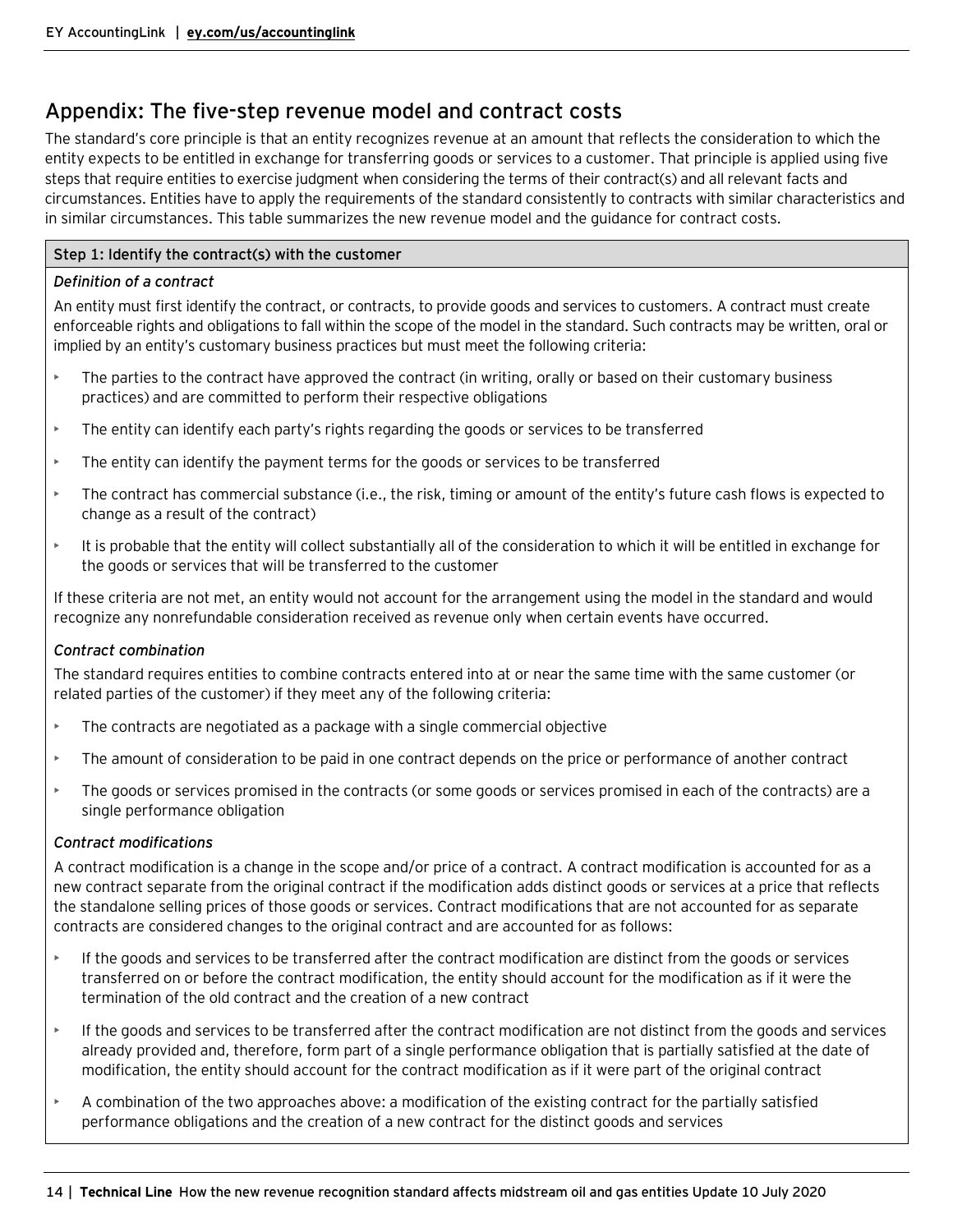# <span id="page-13-0"></span>Appendix: The five-step revenue model and contract costs

The standard's core principle is that an entity recognizes revenue at an amount that reflects the consideration to which the entity expects to be entitled in exchange for transferring goods or services to a customer. That principle is applied using five steps that require entities to exercise judgment when considering the terms of their contract(s) and all relevant facts and circumstances. Entities have to apply the requirements of the standard consistently to contracts with similar characteristics and in similar circumstances. This table summarizes the new revenue model and the guidance for contract costs.

#### **Step 1: Identify the contract(s) with the customer**

#### *Definition of a contract*

An entity must first identify the contract, or contracts, to provide goods and services to customers. A contract must create enforceable rights and obligations to fall within the scope of the model in the standard. Such contracts may be written, oral or implied by an entity's customary business practices but must meet the following criteria:

- The parties to the contract have approved the contract (in writing, orally or based on their customary business practices) and are committed to perform their respective obligations
- $\blacktriangleright$  The entity can identify each party's rights regarding the goods or services to be transferred
- The entity can identify the payment terms for the goods or services to be transferred
- The contract has commercial substance (i.e., the risk, timing or amount of the entity's future cash flows is expected to change as a result of the contract)
- It is probable that the entity will collect substantially all of the consideration to which it will be entitled in exchange for the goods or services that will be transferred to the customer

If these criteria are not met, an entity would not account for the arrangement using the model in the standard and would recognize any nonrefundable consideration received as revenue only when certain events have occurred.

#### *Contract combination*

The standard requires entities to combine contracts entered into at or near the same time with the same customer (or related parties of the customer) if they meet any of the following criteria:

- The contracts are negotiated as a package with a single commercial objective
- The amount of consideration to be paid in one contract depends on the price or performance of another contract
- The goods or services promised in the contracts (or some goods or services promised in each of the contracts) are a single performance obligation

#### *Contract modifications*

A contract modification is a change in the scope and/or price of a contract. A contract modification is accounted for as a new contract separate from the original contract if the modification adds distinct goods or services at a price that reflects the standalone selling prices of those goods or services. Contract modifications that are not accounted for as separate contracts are considered changes to the original contract and are accounted for as follows:

- If the goods and services to be transferred after the contract modification are distinct from the goods or services transferred on or before the contract modification, the entity should account for the modification as if it were the termination of the old contract and the creation of a new contract
- If the goods and services to be transferred after the contract modification are not distinct from the goods and services already provided and, therefore, form part of a single performance obligation that is partially satisfied at the date of modification, the entity should account for the contract modification as if it were part of the original contract
- A combination of the two approaches above: a modification of the existing contract for the partially satisfied performance obligations and the creation of a new contract for the distinct goods and services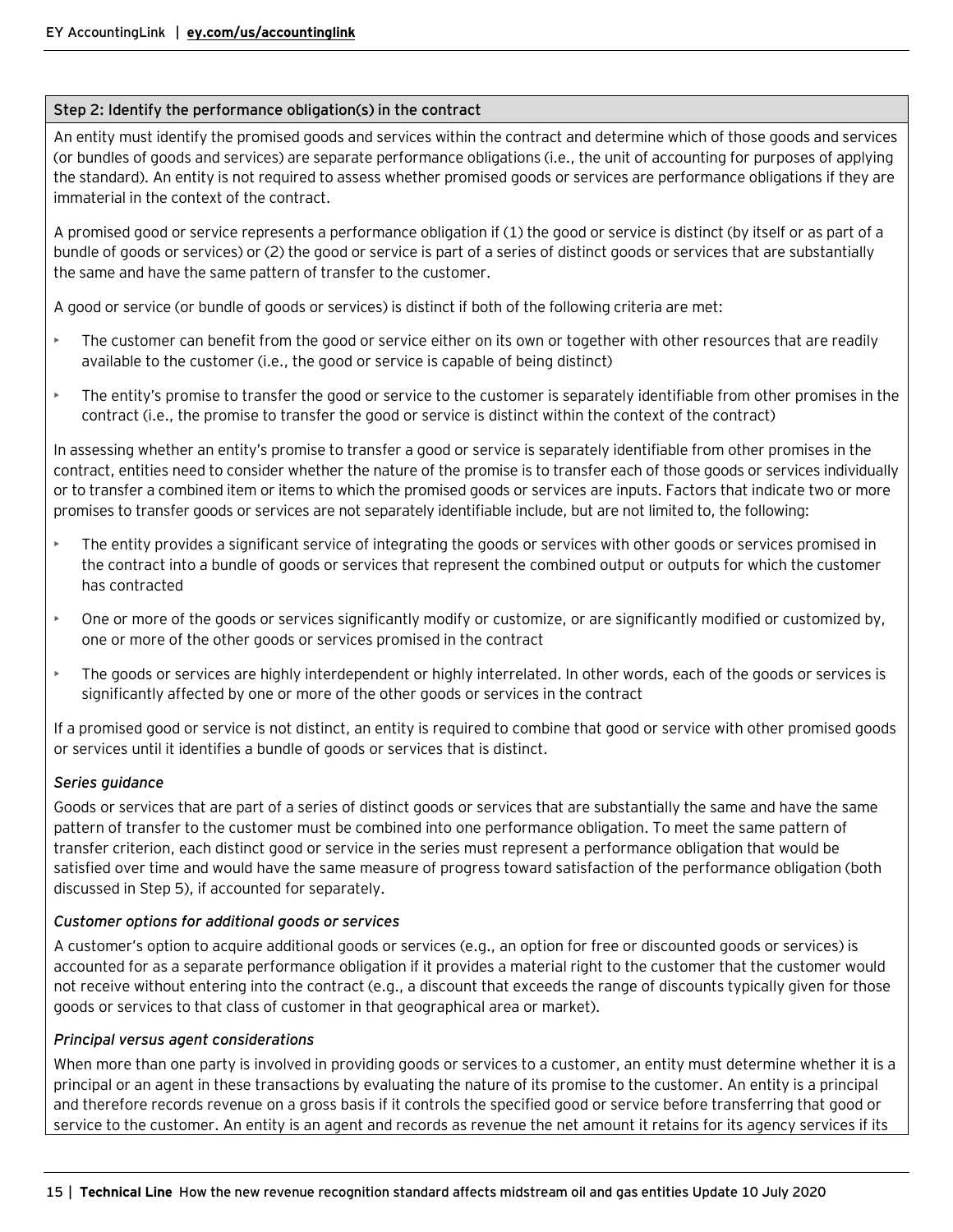#### **Step 2: Identify the performance obligation(s) in the contract**

An entity must identify the promised goods and services within the contract and determine which of those goods and services (or bundles of goods and services) are separate performance obligations (i.e., the unit of accounting for purposes of applying the standard). An entity is not required to assess whether promised goods or services are performance obligations if they are immaterial in the context of the contract.

A promised good or service represents a performance obligation if (1) the good or service is distinct (by itself or as part of a bundle of goods or services) or (2) the good or service is part of a series of distinct goods or services that are substantially the same and have the same pattern of transfer to the customer.

A good or service (or bundle of goods or services) is distinct if both of the following criteria are met:

- The customer can benefit from the good or service either on its own or together with other resources that are readily available to the customer (i.e., the good or service is capable of being distinct)
- The entity's promise to transfer the good or service to the customer is separately identifiable from other promises in the contract (i.e., the promise to transfer the good or service is distinct within the context of the contract)

In assessing whether an entity's promise to transfer a good or service is separately identifiable from other promises in the contract, entities need to consider whether the nature of the promise is to transfer each of those goods or services individually or to transfer a combined item or items to which the promised goods or services are inputs. Factors that indicate two or more promises to transfer goods or services are not separately identifiable include, but are not limited to, the following:

- The entity provides a significant service of integrating the goods or services with other goods or services promised in the contract into a bundle of goods or services that represent the combined output or outputs for which the customer has contracted
- One or more of the goods or services significantly modify or customize, or are significantly modified or customized by, one or more of the other goods or services promised in the contract
- The goods or services are highly interdependent or highly interrelated. In other words, each of the goods or services is significantly affected by one or more of the other goods or services in the contract

If a promised good or service is not distinct, an entity is required to combine that good or service with other promised goods or services until it identifies a bundle of goods or services that is distinct.

#### *Series guidance*

Goods or services that are part of a series of distinct goods or services that are substantially the same and have the same pattern of transfer to the customer must be combined into one performance obligation. To meet the same pattern of transfer criterion, each distinct good or service in the series must represent a performance obligation that would be satisfied over time and would have the same measure of progress toward satisfaction of the performance obligation (both discussed in Step 5), if accounted for separately.

#### *Customer options for additional goods or services*

A customer's option to acquire additional goods or services (e.g., an option for free or discounted goods or services) is accounted for as a separate performance obligation if it provides a material right to the customer that the customer would not receive without entering into the contract (e.g., a discount that exceeds the range of discounts typically given for those goods or services to that class of customer in that geographical area or market).

#### *Principal versus agent considerations*

When more than one party is involved in providing goods or services to a customer, an entity must determine whether it is a principal or an agent in these transactions by evaluating the nature of its promise to the customer. An entity is a principal and therefore records revenue on a gross basis if it controls the specified good or service before transferring that good or service to the customer. An entity is an agent and records as revenue the net amount it retains for its agency services if its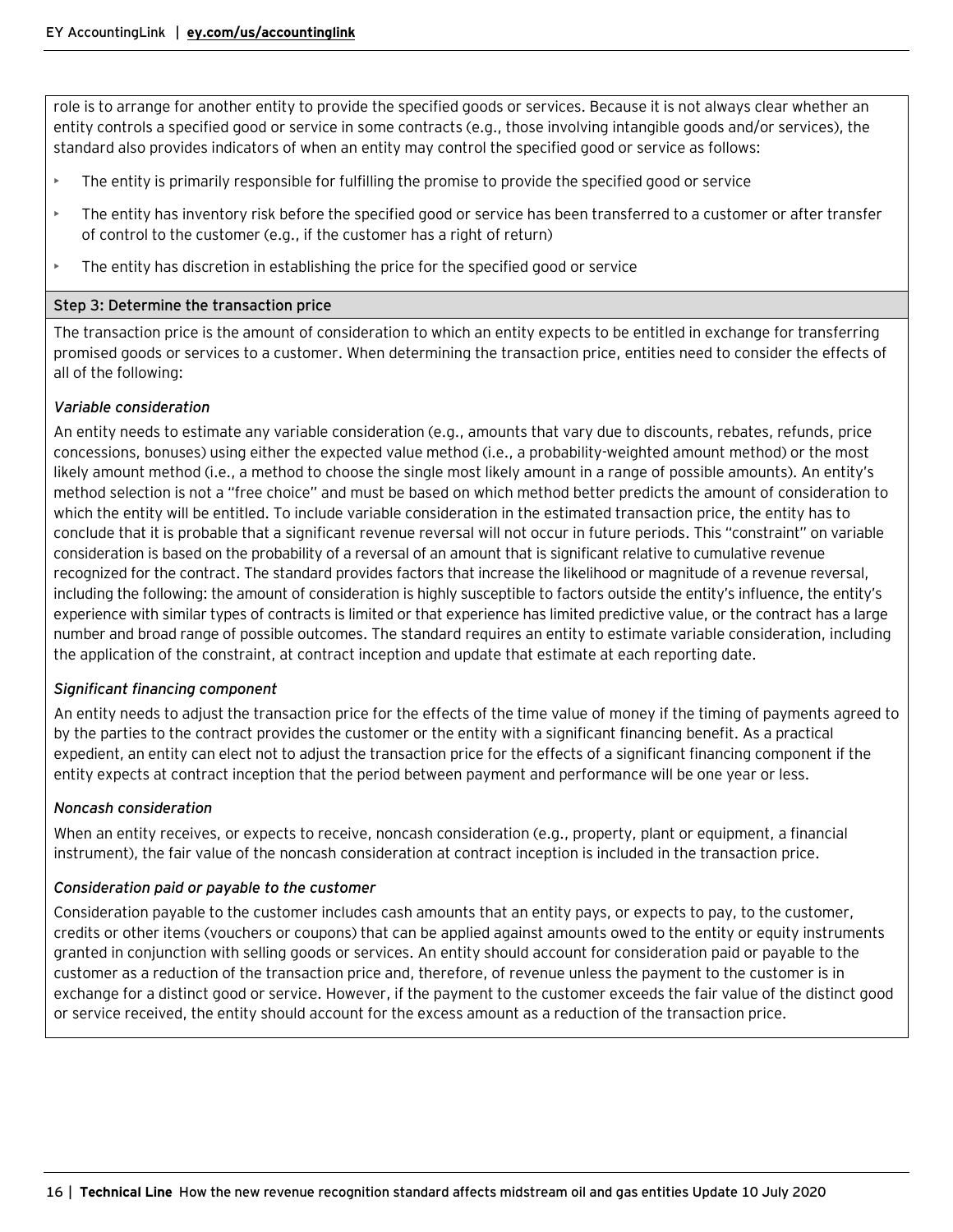role is to arrange for another entity to provide the specified goods or services. Because it is not always clear whether an entity controls a specified good or service in some contracts (e.g., those involving intangible goods and/or services), the standard also provides indicators of when an entity may control the specified good or service as follows:

- The entity is primarily responsible for fulfilling the promise to provide the specified good or service
- The entity has inventory risk before the specified good or service has been transferred to a customer or after transfer of control to the customer (e.g., if the customer has a right of return)
- $\blacktriangleright$  The entity has discretion in establishing the price for the specified good or service

#### **Step 3: Determine the transaction price**

The transaction price is the amount of consideration to which an entity expects to be entitled in exchange for transferring promised goods or services to a customer. When determining the transaction price, entities need to consider the effects of all of the following:

#### *Variable consideration*

An entity needs to estimate any variable consideration (e.g., amounts that vary due to discounts, rebates, refunds, price concessions, bonuses) using either the expected value method (i.e., a probability-weighted amount method) or the most likely amount method (i.e., a method to choose the single most likely amount in a range of possible amounts). An entity's method selection is not a "free choice" and must be based on which method better predicts the amount of consideration to which the entity will be entitled. To include variable consideration in the estimated transaction price, the entity has to conclude that it is probable that a significant revenue reversal will not occur in future periods. This "constraint" on variable consideration is based on the probability of a reversal of an amount that is significant relative to cumulative revenue recognized for the contract. The standard provides factors that increase the likelihood or magnitude of a revenue reversal, including the following: the amount of consideration is highly susceptible to factors outside the entity's influence, the entity's experience with similar types of contracts is limited or that experience has limited predictive value, or the contract has a large number and broad range of possible outcomes. The standard requires an entity to estimate variable consideration, including the application of the constraint, at contract inception and update that estimate at each reporting date.

#### *Significant financing component*

An entity needs to adjust the transaction price for the effects of the time value of money if the timing of payments agreed to by the parties to the contract provides the customer or the entity with a significant financing benefit. As a practical expedient, an entity can elect not to adjust the transaction price for the effects of a significant financing component if the entity expects at contract inception that the period between payment and performance will be one year or less.

#### *Noncash consideration*

When an entity receives, or expects to receive, noncash consideration (e.g., property, plant or equipment, a financial instrument), the fair value of the noncash consideration at contract inception is included in the transaction price.

#### *Consideration paid or payable to the customer*

Consideration payable to the customer includes cash amounts that an entity pays, or expects to pay, to the customer, credits or other items (vouchers or coupons) that can be applied against amounts owed to the entity or equity instruments granted in conjunction with selling goods or services. An entity should account for consideration paid or payable to the customer as a reduction of the transaction price and, therefore, of revenue unless the payment to the customer is in exchange for a distinct good or service. However, if the payment to the customer exceeds the fair value of the distinct good or service received, the entity should account for the excess amount as a reduction of the transaction price.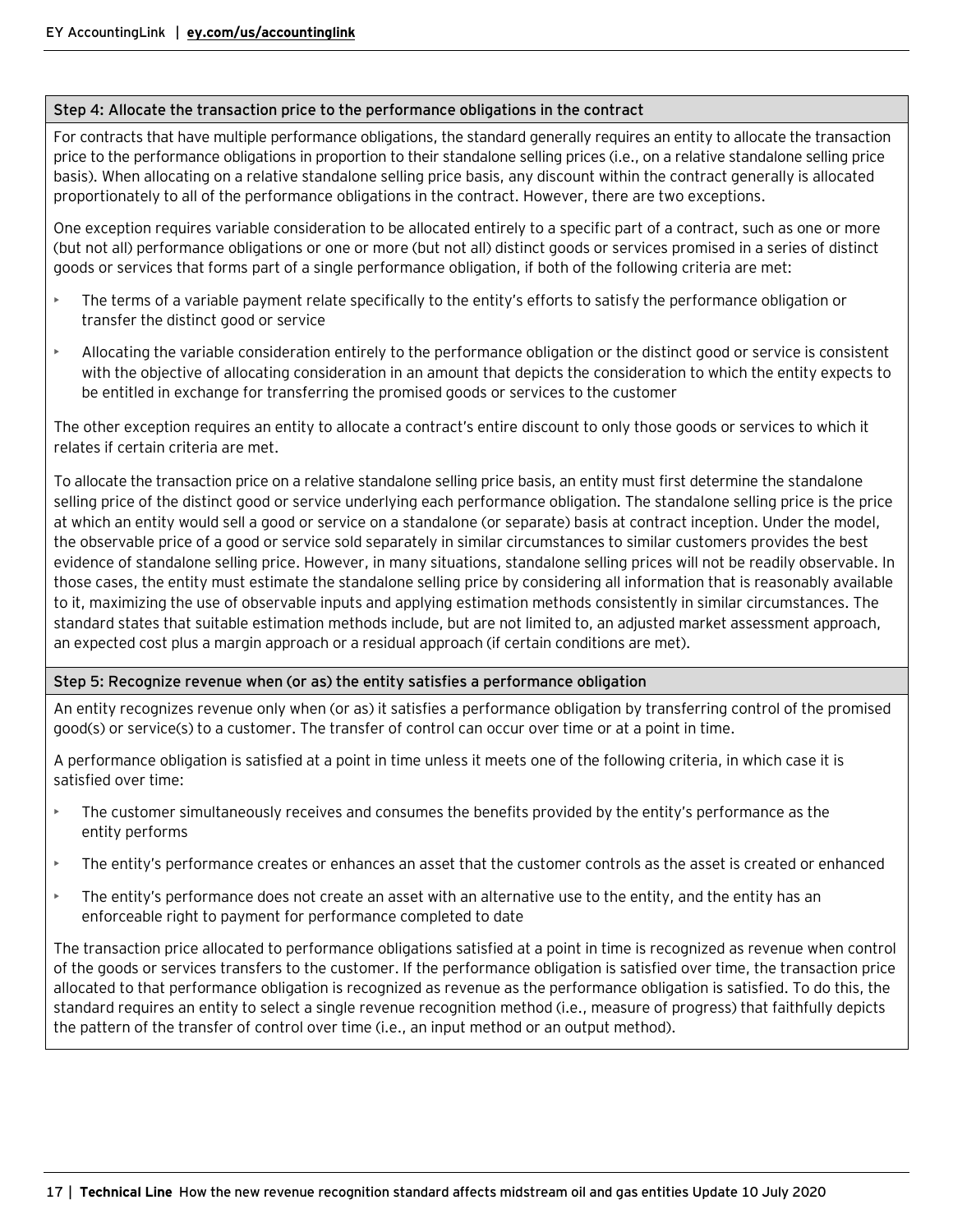#### **Step 4: Allocate the transaction price to the performance obligations in the contract**

For contracts that have multiple performance obligations, the standard generally requires an entity to allocate the transaction price to the performance obligations in proportion to their standalone selling prices (i.e., on a relative standalone selling price basis). When allocating on a relative standalone selling price basis, any discount within the contract generally is allocated proportionately to all of the performance obligations in the contract. However, there are two exceptions.

One exception requires variable consideration to be allocated entirely to a specific part of a contract, such as one or more (but not all) performance obligations or one or more (but not all) distinct goods or services promised in a series of distinct goods or services that forms part of a single performance obligation, if both of the following criteria are met:

- The terms of a variable payment relate specifically to the entity's efforts to satisfy the performance obligation or transfer the distinct good or service
- Allocating the variable consideration entirely to the performance obligation or the distinct good or service is consistent with the objective of allocating consideration in an amount that depicts the consideration to which the entity expects to be entitled in exchange for transferring the promised goods or services to the customer

The other exception requires an entity to allocate a contract's entire discount to only those goods or services to which it relates if certain criteria are met.

To allocate the transaction price on a relative standalone selling price basis, an entity must first determine the standalone selling price of the distinct good or service underlying each performance obligation. The standalone selling price is the price at which an entity would sell a good or service on a standalone (or separate) basis at contract inception. Under the model, the observable price of a good or service sold separately in similar circumstances to similar customers provides the best evidence of standalone selling price. However, in many situations, standalone selling prices will not be readily observable. In those cases, the entity must estimate the standalone selling price by considering all information that is reasonably available to it, maximizing the use of observable inputs and applying estimation methods consistently in similar circumstances. The standard states that suitable estimation methods include, but are not limited to, an adjusted market assessment approach, an expected cost plus a margin approach or a residual approach (if certain conditions are met).

#### **Step 5: Recognize revenue when (or as) the entity satisfies a performance obligation**

An entity recognizes revenue only when (or as) it satisfies a performance obligation by transferring control of the promised good(s) or service(s) to a customer. The transfer of control can occur over time or at a point in time.

A performance obligation is satisfied at a point in time unless it meets one of the following criteria, in which case it is satisfied over time:

- The customer simultaneously receives and consumes the benefits provided by the entity's performance as the entity performs
- The entity's performance creates or enhances an asset that the customer controls as the asset is created or enhanced
- The entity's performance does not create an asset with an alternative use to the entity, and the entity has an enforceable right to payment for performance completed to date

The transaction price allocated to performance obligations satisfied at a point in time is recognized as revenue when control of the goods or services transfers to the customer. If the performance obligation is satisfied over time, the transaction price allocated to that performance obligation is recognized as revenue as the performance obligation is satisfied. To do this, the standard requires an entity to select a single revenue recognition method (i.e., measure of progress) that faithfully depicts the pattern of the transfer of control over time (i.e., an input method or an output method).